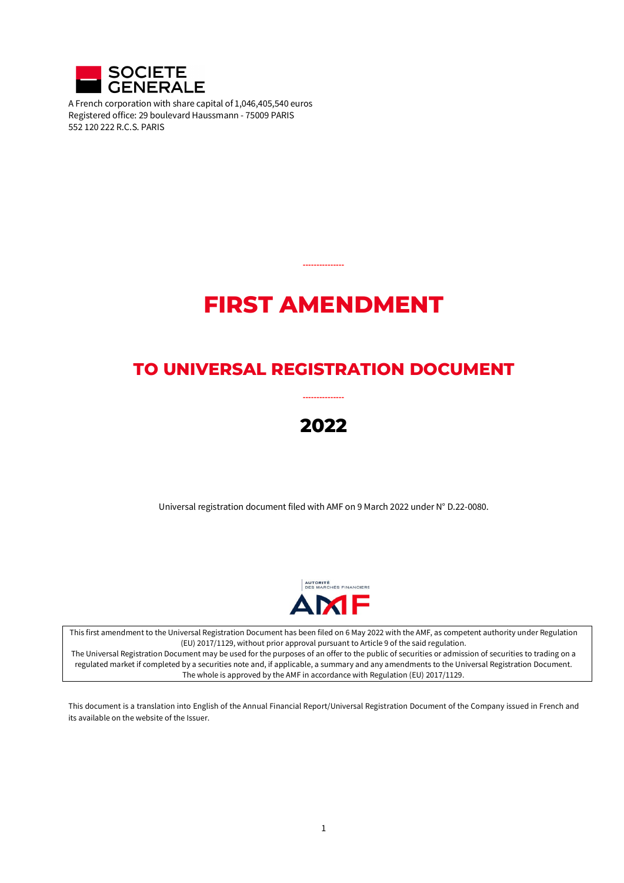

A French corporation with share capital of 1,046,405,540 euros Registered office: 29 boulevard Haussmann - 75009 PARIS 552 120 222 R.C.S. PARIS

# **FIRST AMENDMENT**

**---------------**

# **TO UNIVERSAL REGISTRATION DOCUMENT**

# **2022**

**---------------**

Universal registration document filed with AMF on 9 March 2022 under N° D.22-0080.



This first amendment to the Universal Registration Document has been filed on 6 May 2022 with the AMF, as competent authority under Regulation (EU) 2017/1129, without prior approval pursuant to Article 9 of the said regulation.

The Universal Registration Document may be used for the purposes of an offer to the public of securities or admission of securities to trading on a regulated market if completed by a securities note and, if applicable, a summary and any amendments to the Universal Registration Document. The whole is approved by the AMF in accordance with Regulation (EU) 2017/1129.

This document is a translation into English of the Annual Financial Report/Universal Registration Document of the Company issued in French and its available on the website of the Issuer.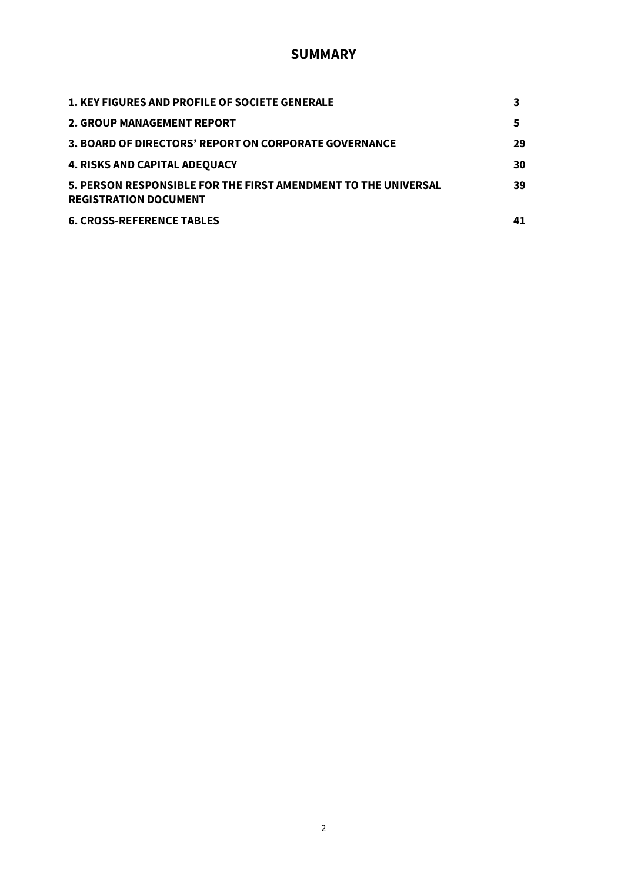# **SUMMARY**

| <b>1. KEY FIGURES AND PROFILE OF SOCIETE GENERALE</b>                                          |    |
|------------------------------------------------------------------------------------------------|----|
| <b>2. GROUP MANAGEMENT REPORT</b>                                                              | 5  |
| 3. BOARD OF DIRECTORS' REPORT ON CORPORATE GOVERNANCE                                          | 29 |
| <b>4. RISKS AND CAPITAL ADEQUACY</b>                                                           | 30 |
| 5. PERSON RESPONSIBLE FOR THE FIRST AMENDMENT TO THE UNIVERSAL<br><b>REGISTRATION DOCUMENT</b> | 39 |
| <b>6. CROSS-REFERENCE TABLES</b>                                                               | 41 |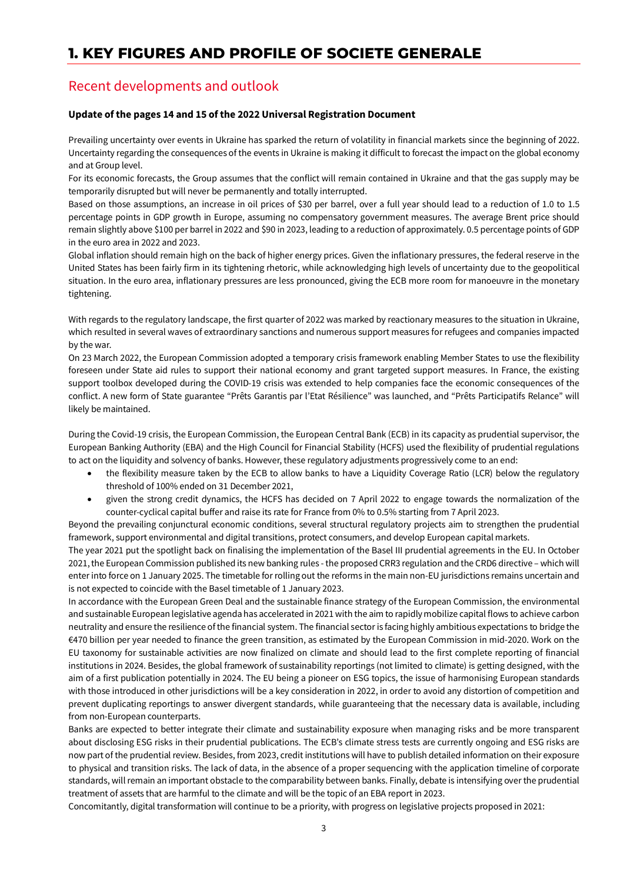# **1. KEY FIGURES AND PROFILE OF SOCIETE GENERALE**

# Recent developments and outlook

#### **Update of the pages 14 and 15 of the 2022 Universal Registration Document**

Prevailing uncertainty over events in Ukraine has sparked the return of volatility in financial markets since the beginning of 2022. Uncertainty regarding the consequences of the events in Ukraine is making it difficult to forecast the impact on the global economy and at Group level.

For its economic forecasts, the Group assumes that the conflict will remain contained in Ukraine and that the gas supply may be temporarily disrupted but will never be permanently and totally interrupted.

Based on those assumptions, an increase in oil prices of \$30 per barrel, over a full year should lead to a reduction of 1.0 to 1.5 percentage points in GDP growth in Europe, assuming no compensatory government measures. The average Brent price should remain slightly above \$100 per barrel in 2022 and \$90 in 2023, leading to a reduction of approximately. 0.5 percentage points of GDP in the euro area in 2022 and 2023.

Global inflation should remain high on the back of higher energy prices. Given the inflationary pressures, the federal reserve in the United States has been fairly firm in its tightening rhetoric, while acknowledging high levels of uncertainty due to the geopolitical situation. In the euro area, inflationary pressures are less pronounced, giving the ECB more room for manoeuvre in the monetary tightening.

With regards to the regulatory landscape, the first quarter of 2022 was marked by reactionary measures to the situation in Ukraine, which resulted in several waves of extraordinary sanctions and numerous support measures for refugees and companies impacted by the war.

On 23 March 2022, the European Commission adopted a temporary crisis framework enabling Member States to use the flexibility foreseen under State aid rules to support their national economy and grant targeted support measures. In France, the existing support toolbox developed during the COVID-19 crisis was extended to help companies face the economic consequences of the conflict. A new form of State guarantee "Prêts Garantis par l'Etat Résilience" was launched, and "Prêts Participatifs Relance" will likely be maintained.

During the Covid-19 crisis, the European Commission, the European Central Bank (ECB) in its capacity as prudential supervisor, the European Banking Authority (EBA) and the High Council for Financial Stability (HCFS) used the flexibility of prudential regulations to act on the liquidity and solvency of banks. However, these regulatory adjustments progressively come to an end:

- the flexibility measure taken by the ECB to allow banks to have a Liquidity Coverage Ratio (LCR) below the regulatory threshold of 100% ended on 31 December 2021,
- given the strong credit dynamics, the HCFS has decided on 7 April 2022 to engage towards the normalization of the counter-cyclical capital buffer and raise its rate for France from 0% to 0.5% starting from 7 April 2023.

Beyond the prevailing conjunctural economic conditions, several structural regulatory projects aim to strengthen the prudential framework, support environmental and digital transitions, protect consumers, and develop European capital markets.

The year 2021 put the spotlight back on finalising the implementation of the Basel III prudential agreements in the EU. In October 2021, the European Commission published its new banking rules -the proposed CRR3 regulation and the CRD6 directive – which will enter into force on 1 January 2025. The timetable for rolling out the reforms in the main non-EU jurisdictions remains uncertain and is not expected to coincide with the Basel timetable of 1 January 2023.

In accordance with the European Green Deal and the sustainable finance strategy of the European Commission, the environmental and sustainable European legislative agenda has accelerated in 2021 with the aim to rapidly mobilize capital flows to achieve carbon neutrality and ensure the resilience of the financial system. The financial sector is facing highly ambitious expectations to bridge the €470 billion per year needed to finance the green transition, as estimated by the European Commission in mid-2020. Work on the EU taxonomy for sustainable activities are now finalized on climate and should lead to the first complete reporting of financial institutions in 2024. Besides, the global framework of sustainability reportings (not limited to climate) is getting designed, with the aim of a first publication potentially in 2024. The EU being a pioneer on ESG topics, the issue of harmonising European standards with those introduced in other jurisdictions will be a key consideration in 2022, in order to avoid any distortion of competition and prevent duplicating reportings to answer divergent standards, while guaranteeing that the necessary data is available, including from non-European counterparts.

Banks are expected to better integrate their climate and sustainability exposure when managing risks and be more transparent about disclosing ESG risks in their prudential publications. The ECB's climate stress tests are currently ongoing and ESG risks are now part of the prudential review. Besides, from 2023, credit institutions will have to publish detailed information on their exposure to physical and transition risks. The lack of data, in the absence of a proper sequencing with the application timeline of corporate standards, will remain an important obstacle to the comparability between banks. Finally, debate is intensifying over the prudential treatment of assets that are harmful to the climate and will be the topic of an EBA report in 2023.

Concomitantly, digital transformation will continue to be a priority, with progress on legislative projects proposed in 2021: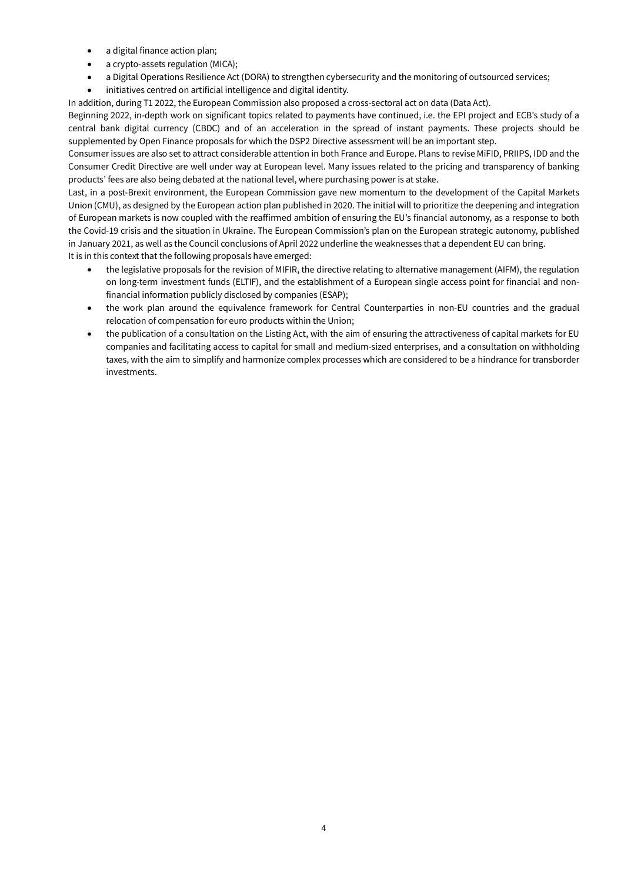- a digital finance action plan;
- a crypto-assets regulation (MICA);
- a Digital Operations Resilience Act (DORA) to strengthen cybersecurity and the monitoring of outsourced services;
- initiatives centred on artificial intelligence and digital identity.

In addition, during T1 2022, the European Commission also proposed a cross-sectoral act on data (Data Act).

Beginning 2022, in-depth work on significant topics related to payments have continued, i.e. the EPI project and ECB's study of a central bank digital currency (CBDC) and of an acceleration in the spread of instant payments. These projects should be supplemented by Open Finance proposals for which the DSP2 Directive assessment will be an important step.

Consumer issues are also set to attract considerable attention in both France and Europe. Plans to revise MiFID, PRIIPS, IDD and the Consumer Credit Directive are well under way at European level. Many issues related to the pricing and transparency of banking products' fees are also being debated at the national level, where purchasing power is at stake.

Last, in a post-Brexit environment, the European Commission gave new momentum to the development of the Capital Markets Union (CMU), as designed by the European action plan published in 2020. The initial will to prioritize the deepening and integration of European markets is now coupled with the reaffirmed ambition of ensuring the EU's financial autonomy, as a response to both the Covid-19 crisis and the situation in Ukraine. The European Commission's plan on the European strategic autonomy, published in January 2021, as well as the Council conclusions of April 2022 underline the weaknesses that a dependent EU can bring. It is in this context that the following proposals have emerged:

- the legislative proposals for the revision of MIFIR, the directive relating to alternative management (AIFM), the regulation on long-term investment funds (ELTIF), and the establishment of a European single access point for financial and nonfinancial information publicly disclosed by companies (ESAP);
- the work plan around the equivalence framework for Central Counterparties in non-EU countries and the gradual relocation of compensation for euro products within the Union;
- the publication of a consultation on the Listing Act, with the aim of ensuring the attractiveness of capital markets for EU companies and facilitating access to capital for small and medium-sized enterprises, and a consultation on withholding taxes, with the aim to simplify and harmonize complex processes which are considered to be a hindrance for transborder investments.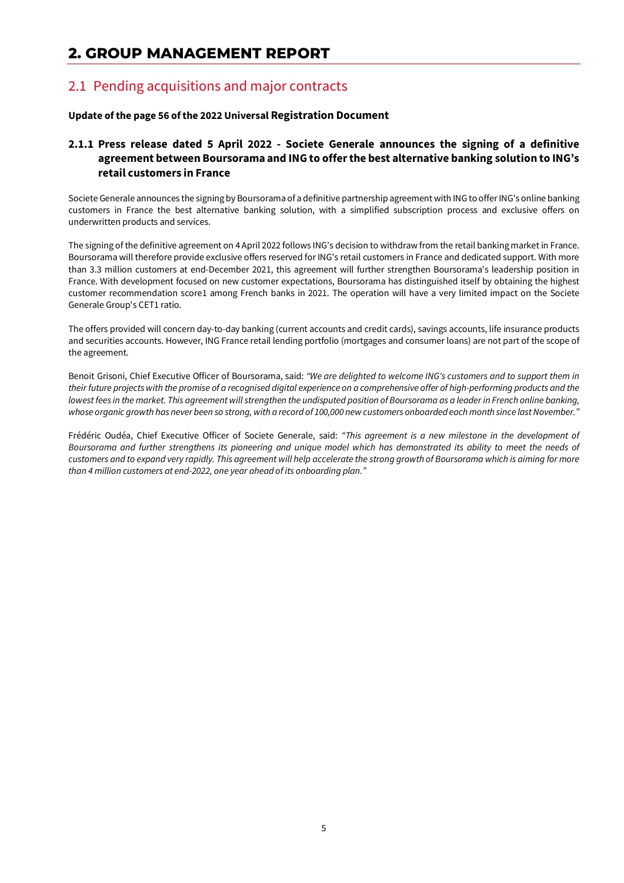# **2. GROUP MANAGEMENT REPORT**

# 2.1 Pending acquisitions and major contracts

#### **Update of the page 56 of the 2022 Universal Registration Document**

### **2.1.1 Press release dated 5 April 2022 - Societe Generale announces the signing of a definitive agreement between Boursorama and ING to offer the best alternative banking solution to ING's retail customers in France**

Societe Generale announces the signing by Boursorama of a definitive partnership agreement with ING to offer ING's online banking customers in France the best alternative banking solution, with a simplified subscription process and exclusive offers on underwritten products and services.

The signing of the definitive agreement on 4 April 2022 follows ING's decision to withdraw from the retail banking market in France. Boursorama will therefore provide exclusive offers reserved for ING's retail customers in France and dedicated support. With more than 3.3 million customers at end-December 2021, this agreement will further strengthen Boursorama's leadership position in France. With development focused on new customer expectations, Boursorama has distinguished itself by obtaining the highest customer recommendation score1 among French banks in 2021. The operation will have a very limited impact on the Societe Generale Group's CET1 ratio.

The offers provided will concern day-to-day banking (current accounts and credit cards), savings accounts, life insurance products and securities accounts. However, ING France retail lending portfolio (mortgages and consumer loans) are not part of the scope of the agreement.

Benoit Grisoni, Chief Executive Officer of Boursorama, said: *"We are delighted to welcome ING's customers and to support them in their future projects with the promise of a recognised digital experience on a comprehensive offer of high-performing products and the lowest fees in the market. This agreement will strengthen the undisputed position of Boursorama as a leader in French online banking, whose organic growth has never been so strong, with a record of 100,000 new customers onboarded each month since last November."*

Frédéric Oudéa, Chief Executive Officer of Societe Generale, said: *"This agreement is a new milestone in the development of Boursorama and further strengthens its pioneering and unique model which has demonstrated its ability to meet the needs of customers and to expand very rapidly. This agreement will help accelerate the strong growth of Boursorama which is aiming for more than 4 million customers at end-2022, one year ahead of its onboarding plan."*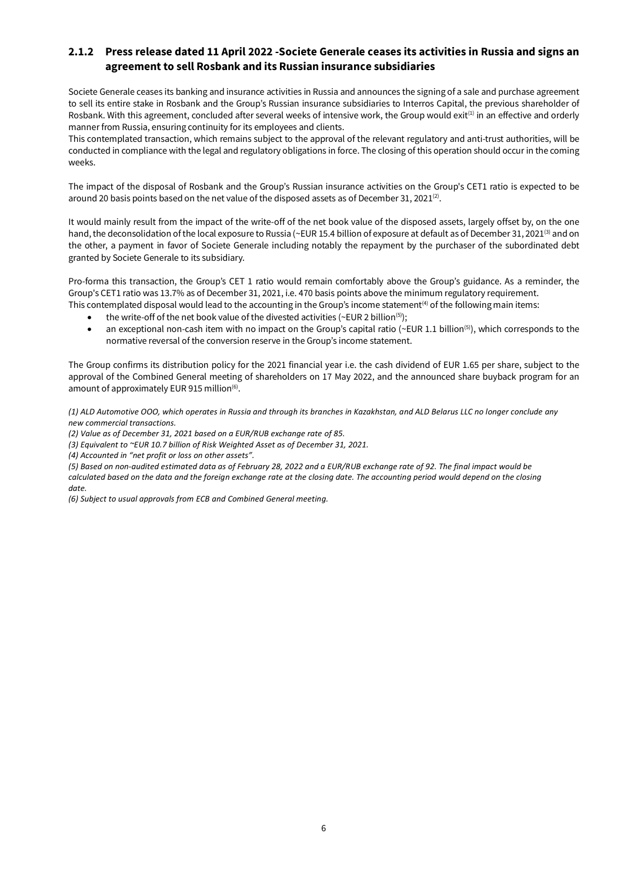### **2.1.2 Press release dated 11 April 2022 -Societe Generale ceases its activities in Russia and signs an agreement to sell Rosbank and its Russian insurance subsidiaries**

Societe Generale ceases its banking and insurance activities in Russia and announces the signing of a sale and purchase agreement to sell its entire stake in Rosbank and the Group's Russian insurance subsidiaries to Interros Capital, the previous shareholder of Rosbank. With this agreement, concluded after several weeks of intensive work, the Group would exit<sup>(1)</sup> in an effective and orderly manner from Russia, ensuring continuity for its employees and clients.

This contemplated transaction, which remains subject to the approval of the relevant regulatory and anti-trust authorities, will be conducted in compliance with the legal and regulatory obligations in force. The closing of this operation should occur in the coming weeks.

The impact of the disposal of Rosbank and the Group's Russian insurance activities on the Group's CET1 ratio is expected to be around 20 basis points based on the net value of the disposed assets as of December 31, 2021<sup>(2)</sup>.

It would mainly result from the impact of the write-off of the net book value of the disposed assets, largely offset by, on the one hand, the deconsolidation of the local exposure to Russia (~EUR 15.4 billion of exposure at default as of December 31, 2021<sup>(3)</sup> and on the other, a payment in favor of Societe Generale including notably the repayment by the purchaser of the subordinated debt granted by Societe Generale to its subsidiary.

Pro-forma this transaction, the Group's CET 1 ratio would remain comfortably above the Group's guidance. As a reminder, the Group's CET1 ratio was 13.7% as of December 31, 2021, i.e. 470 basis points above the minimum regulatory requirement. This contemplated disposal would lead to the accounting in the Group's income statement<sup>(4)</sup> of the following main items:

- the write-off of the net book value of the divested activities (~EUR 2 billion<sup>(5)</sup>);
- an exceptional non-cash item with no impact on the Group's capital ratio ( $\sim$ EUR 1.1 billion<sup>(5)</sup>), which corresponds to the normative reversal of the conversion reserve in the Group's income statement.

The Group confirms its distribution policy for the 2021 financial year i.e. the cash dividend of EUR 1.65 per share, subject to the approval of the Combined General meeting of shareholders on 17 May 2022, and the announced share buyback program for an amount of approximately EUR 915 million<sup>(6)</sup>.

*(1) ALD Automotive OOO, which operates in Russia and through its branches in Kazakhstan, and ALD Belarus LLC no longer conclude any new commercial transactions.*

*(2) Value as of December 31, 2021 based on a EUR/RUB exchange rate of 85.*

*(3) Equivalent to ~EUR 10.7 billion of Risk Weighted Asset as of December 31, 2021.*

*(4) Accounted in "net profit or loss on other assets".*

*(5) Based on non-audited estimated data as of February 28, 2022 and a EUR/RUB exchange rate of 92. The final impact would be calculated based on the data and the foreign exchange rate at the closing date. The accounting period would depend on the closing*

*date.*

*(6) Subject to usual approvals from ECB and Combined General meeting.*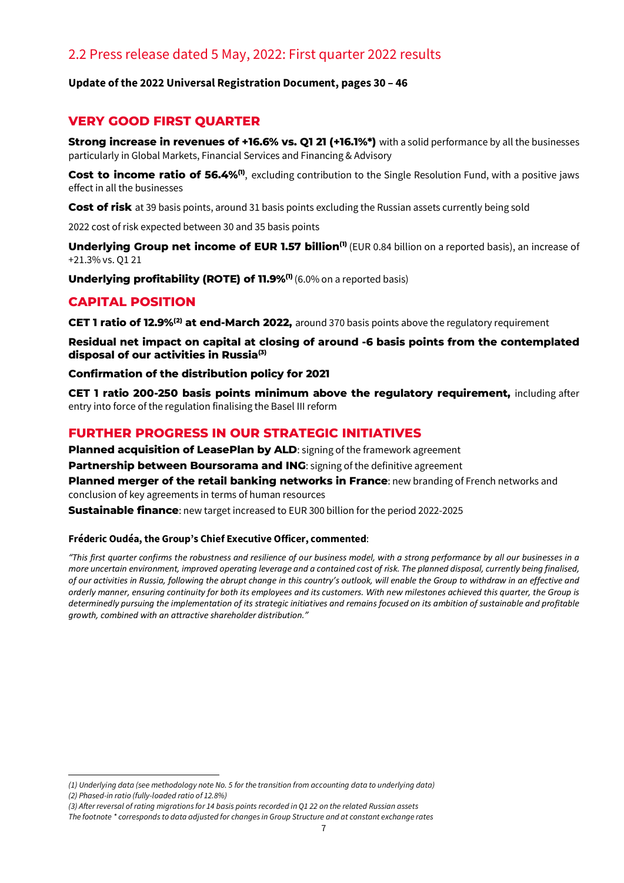# 2.2 Press release dated 5 May, 2022: First quarter 2022 results

### **Update of the 2022 Universal Registration Document, pages 30 – 46**

### **VERY GOOD FIRST QUARTER**

**Strong increase in revenues of +16.6% vs. Q1 21 (+16.1%\*)** with a solid performance by all the businesses particularly in Global Markets, Financial Services and Financing & Advisory

**Cost to income ratio of 56.4%<sup>(0)</sup>,** excluding contribution to the Single Resolution Fund, with a positive jaws effect in all the businesses

**Cost of risk** at 39 basis points, around 31 basis points excluding the Russian assets currently being sold

2022 cost of risk expected between 30 and 35 basis points

**Underlying Group net income of EUR [1](#page-6-0).57 billion<sup>(1)</sup> (EUR 0.84 billion on a reported basis), an increase of** +21.3% vs. Q1 21

**Underlying profitability (ROTE) of 11.9%<sup>(1)</sup> (6.0% on a reported basis)** 

### **CAPITAL POSITION**

**CET 1 ratio of 12.9%([2\)](#page-6-1) at end-March 2022,** around 370 basis points above the regulatory requirement

**Residual net impact on capital at closing of around -6 basis points from the contemplated disposal of our activities in Russi[a\(3\)](#page-6-2)**

**Confirmation of the distribution policy for 2021**

**CET 1 ratio 200-250 basis points minimum above the regulatory requirement,** including after entry into force of the regulation finalising the Basel III reform

### **FURTHER PROGRESS IN OUR STRATEGIC INITIATIVES**

**Planned acquisition of LeasePlan by ALD:** signing of the framework agreement **Partnership between Boursorama and ING**: signing of the definitive agreement **Planned merger of the retail banking networks in France**: new branding of French networks and conclusion of key agreements in terms of human resources **Sustainable finance**: new target increased to EUR 300 billion for the period 2022-2025

#### **Fréderic Oudéa, the Group's Chief Executive Officer, commented**:

*"This first quarter confirms the robustness and resilience of our business model, with a strong performance by all our businesses in a more uncertain environment, improved operating leverage and a contained cost of risk. The planned disposal, currently being finalised, of our activities in Russia, following the abrupt change in this country's outlook, will enable the Group to withdraw in an effective and orderly manner, ensuring continuity for both its employees and its customers. With new milestones achieved this quarter, the Group is determinedly pursuing the implementation of its strategic initiatives and remains focused on its ambition of sustainable and profitable growth, combined with an attractive shareholder distribution."*

<span id="page-6-0"></span>*<sup>(1)</sup> Underlying data (see methodology note No. 5 for the transition from accounting data to underlying data) (2) Phased-in ratio (fully-loaded ratio of 12.8%)*

<span id="page-6-2"></span><span id="page-6-1"></span>*<sup>(3)</sup> After reversal of rating migrations for 14 basis points recorded in Q1 22 on the related Russian assets* 

*The footnote \* corresponds to data adjusted for changes in Group Structure and at constant exchange rates*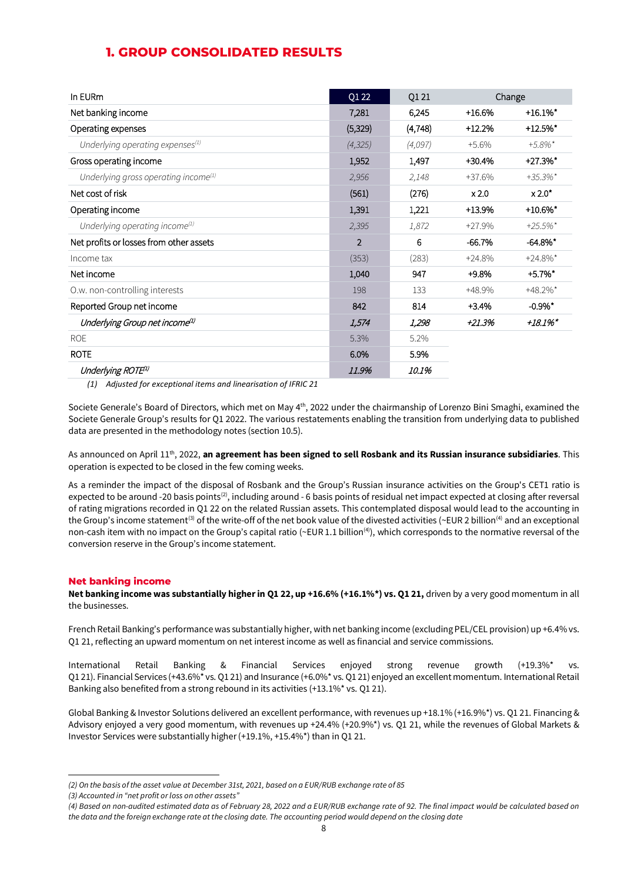| In EURm                                          | Q1 22          | Q1 21    |          | Change                 |
|--------------------------------------------------|----------------|----------|----------|------------------------|
| Net banking income                               | 7,281          | 6,245    | $+16.6%$ | $+16.1\%$ *            |
| Operating expenses                               | (5,329)        | (4, 748) | $+12.2%$ | $+12.5%$ *             |
| Underlying operating expenses <sup>(1)</sup>     | (4, 325)       | (4,097)  | $+5.6%$  | $+5.8\%$ *             |
| Gross operating income                           | 1,952          | 1,497    | +30.4%   | $+27.3%$ *             |
| Underlying gross operating income <sup>(1)</sup> | 2,956          | 2,148    | +37.6%   | $+35.3\%$ *            |
| Net cost of risk                                 | (561)          | (276)    | x 2.0    | $x 2.0^*$              |
| Operating income                                 | 1,391          | 1,221    | +13.9%   | $+10.6%$ *             |
| Underlying operating income $\mathbf{u}^{(1)}$   | 2,395          | 1,872    | +27.9%   | $+25.5\%$ <sup>*</sup> |
| Net profits or losses from other assets          | $\overline{2}$ | 6        | $-66.7%$ | $-64.8\%$ *            |
| Income tax                                       | (353)          | (283)    | $+24.8%$ | $+24.8\%$ *            |
| Net income                                       | 1,040          | 947      | $+9.8%$  | $+5.7\%$ *             |
| O.w. non-controlling interests                   | 198            | 133      | +48.9%   | $+48.2\%$ *            |
| Reported Group net income                        | 842            | 814      | $+3.4%$  | $-0.9%$                |
| Underlying Group net income <sup>(1)</sup>       | 1,574          | 1,298    | +21.3%   | $+18.1\%$              |
| <b>ROE</b>                                       | 5.3%           | 5.2%     |          |                        |
| <b>ROTE</b>                                      | 6.0%           | 5.9%     |          |                        |
| Underlying ROTE <sup>1)</sup>                    | 11.9%          | 10.1%    |          |                        |

### **1. GROUP CONSOLIDATED RESULTS**

*(1) Adjusted for exceptional items and linearisation of IFRIC 21* 

Societe Generale's Board of Directors, which met on May 4<sup>th</sup>, 2022 under the chairmanship of Lorenzo Bini Smaghi, examined the Societe Generale Group's results for Q1 2022. The various restatements enabling the transition from underlying data to published data are presented in the methodology notes (section 10.5).

As announced on April 11<sup>th</sup>, 2022, an agreement has been signed to sell Rosbank and its Russian insurance subsidiaries. This operation is expected to be closed in the few coming weeks.

As a reminder the impact of the disposal of Rosbank and the Group's Russian insurance activities on the Group's CET1 ratio is expected to be around -20 basis points<sup>(2)</sup>, including around - 6 basis points of residual net impact expected at closing after reversal of rating migrations recorded in Q1 22 on the related Russian assets. This contemplated disposal would lead to the accounting in the Group's income statement<sup>[\(3\)](#page-7-1)</sup> of the write-off of the net book value of the divested activities (~EUR 2 billion<sup>[\(4\)](#page-7-2)</sup> and an exceptional non-cash item with no impact on the Group's capital ratio (~EUR 1.1 billion<sup>(4)</sup>), which corresponds to the normative reversal of the conversion reserve in the Group's income statement.

#### **Net banking income**

**Net banking income was substantially higher in Q1 22, up +16.6% (+16.1%\*) vs. Q1 21,** driven by a very good momentum in all the businesses.

French Retail Banking's performance was substantially higher, with net banking income (excluding PEL/CEL provision) up +6.4% vs. Q1 21, reflecting an upward momentum on net interest income as well as financial and service commissions.

International Retail Banking & Financial Services enjoyed strong revenue growth (+19.3%\* vs. Q1 21). Financial Services (+43.6%\* vs. Q1 21) and Insurance (+6.0%\* vs. Q1 21) enjoyed an excellent momentum. International Retail Banking also benefited from a strong rebound in its activities (+13.1%\* vs. Q1 21).

Global Banking & Investor Solutions delivered an excellent performance, with revenues up +18.1% (+16.9%\*) vs. Q1 21. Financing & Advisory enjoyed a very good momentum, with revenues up +24.4% (+20.9%\*) vs. Q1 21, while the revenues of Global Markets & Investor Services were substantially higher (+19.1%, +15.4%\*) than in Q1 21.

<span id="page-7-0"></span>*<sup>(2)</sup> On the basis of the asset value at December 31st, 2021, based on a EUR/RUB exchange rate of 85*

<span id="page-7-1"></span>*<sup>(3)</sup> Accounted in "net profit or loss on other assets"*

<span id="page-7-2"></span>*<sup>(4)</sup> Based on non-audited estimated data as of February 28, 2022 and a EUR/RUB exchange rate of 92. The final impact would be calculated based on the data and the foreign exchange rate at the closing date. The accounting period would depend on the closing date*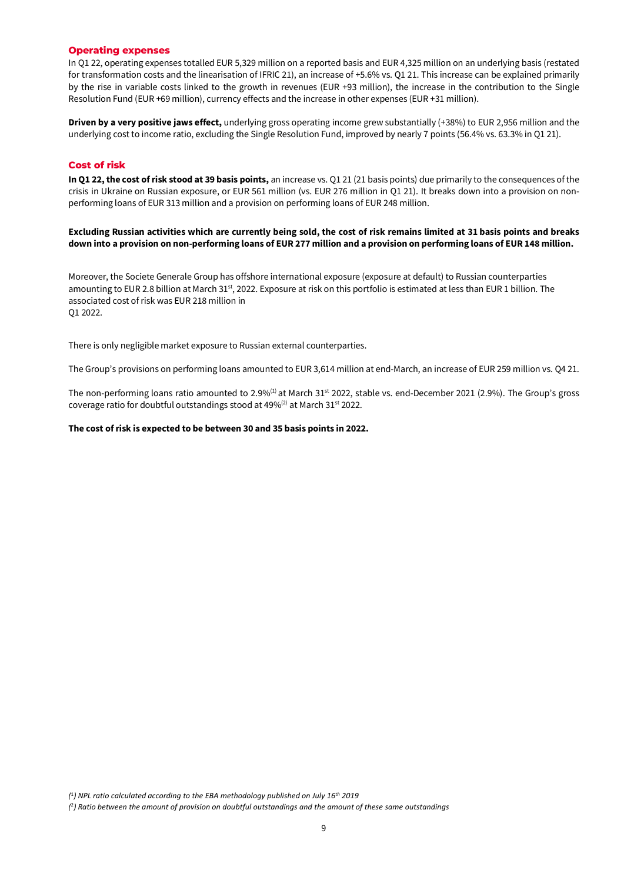#### **Operating expenses**

In Q1 22, operating expenses totalled EUR 5,329 million on a reported basis and EUR 4,325 million on an underlying basis (restated for transformation costs and the linearisation of IFRIC 21), an increase of +5.6% vs. Q1 21. This increase can be explained primarily by the rise in variable costs linked to the growth in revenues (EUR +93 million), the increase in the contribution to the Single Resolution Fund (EUR +69 million), currency effects and the increase in other expenses (EUR +31 million).

**Driven by a very positive jaws effect,** underlying gross operating income grew substantially (+38%) to EUR 2,956 million and the underlying cost to income ratio, excluding the Single Resolution Fund, improved by nearly 7 points (56.4% vs. 63.3% in Q1 21).

#### **Cost of risk**

**In Q1 22, the cost of risk stood at 39 basis points,** an increase vs. Q1 21 (21 basis points) due primarily to the consequences of the crisis in Ukraine on Russian exposure, or EUR 561 million (vs. EUR 276 million in Q1 21). It breaks down into a provision on nonperforming loans of EUR 313 million and a provision on performing loans of EUR 248 million.

**Excluding Russian activities which are currently being sold, the cost of risk remains limited at 31 basis points and breaks down into a provision on non-performing loans of EUR 277 million and a provision on performing loans of EUR 148 million.** 

Moreover, the Societe Generale Group has offshore international exposure (exposure at default) to Russian counterparties amounting to EUR 2.8 billion at March 31<sup>st</sup>, 2022. Exposure at risk on this portfolio is estimated at less than EUR 1 billion. The associated cost of risk was EUR 218 million in Q1 2022.

There is only negligible market exposure to Russian external counterparties.

The Group's provisions on performing loans amounted to EUR 3,614 million at end-March, an increase of EUR 259 million vs. Q4 21.

The non-performing loans ratio amounted to 2.9%<sup>(1)</sup> at March 31<sup>st</sup> 2022, stable vs. end-December 2021 (2.9%). The Group's gross coverage ratio for doubtful outstandings stood at  $49\%^{(2)}$  at March 31st 2022.

#### **The cost of risk is expected to be between 30 and 35 basis points in 2022.**

*(*<sup>1</sup>*) NPL ratio calculated according to the EBA methodology published on July 16th 2019*

*<sup>(</sup>* 2*) Ratio between the amount of provision on doubtful outstandings and the amount of these same outstandings*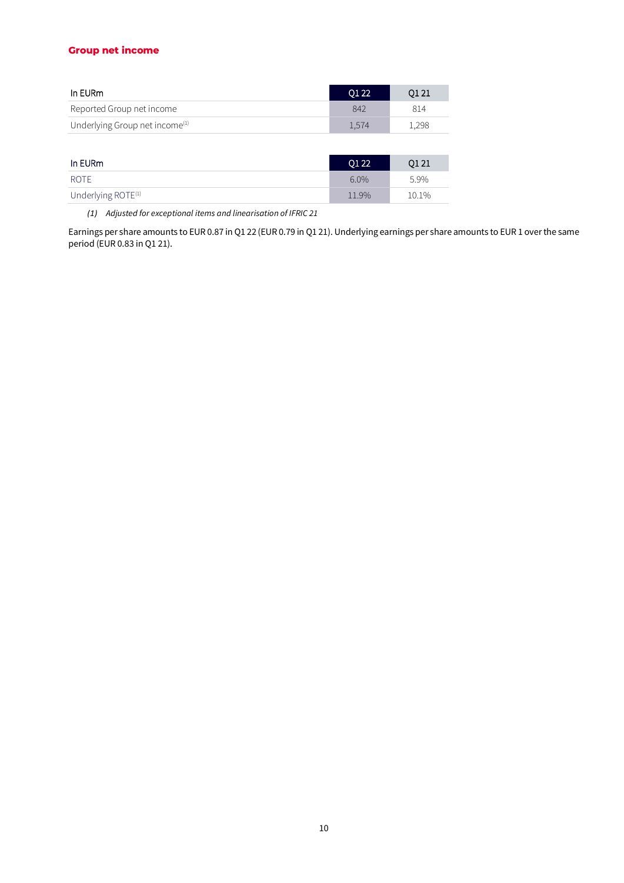#### **Group net income**

| In EURm                                    | 0122  | O1 21 |
|--------------------------------------------|-------|-------|
| Reported Group net income                  | 842   | 814   |
| Underlying Group net income <sup>(1)</sup> | 1.574 | L.298 |

| In EURm                        | $\overline{01}$ 22 | 0121  |
|--------------------------------|--------------------|-------|
| ROTE                           | 6.0%               | 5.9%  |
| Underlying ROTE <sup>(1)</sup> | 11.9%              | 10.1% |

*(1) Adjusted for exceptional items and linearisation of IFRIC 21*

Earnings per share amounts to EUR 0.87 in Q1 22 (EUR 0.79 in Q1 21). Underlying earnings per share amounts to EUR 1 over the same period (EUR 0.83 in Q1 21).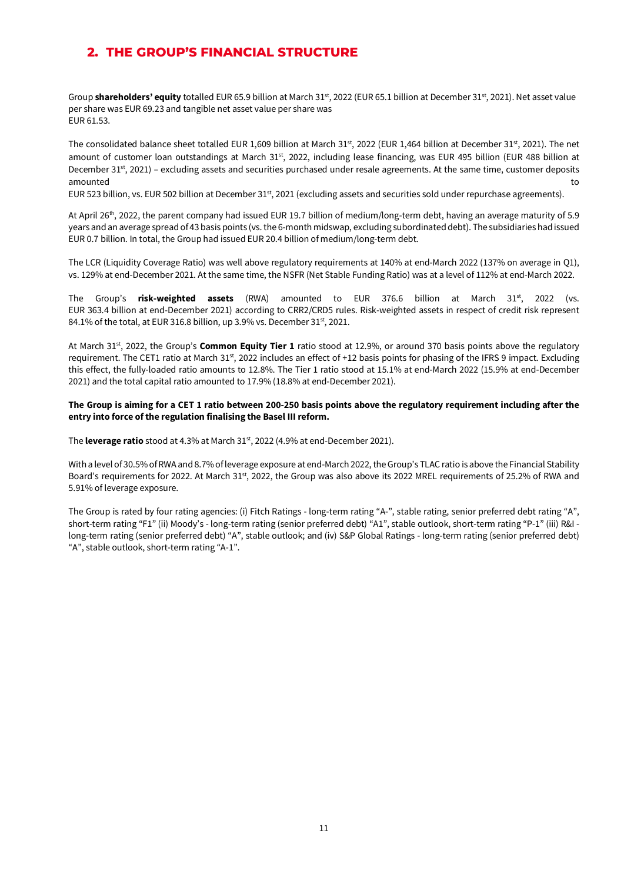### **2. THE GROUP'S FINANCIAL STRUCTURE**

Group **shareholders' equity** totalled EUR 65.9 billion at March 31<sup>st</sup>, 2022 (EUR 65.1 billion at December 31<sup>st</sup>, 2021). Net asset value per share was EUR 69.23 and tangible net asset value per share was EUR 61.53.

The consolidated balance sheet totalled EUR 1,609 billion at March 31st, 2022 (EUR 1,464 billion at December 31st, 2021). The net amount of customer loan outstandings at March 31<sup>st</sup>, 2022, including lease financing, was EUR 495 billion (EUR 488 billion at December 31<sup>st</sup>, 2021) – excluding assets and securities purchased under resale agreements. At the same time, customer deposits amounted to a state of the control of the control of the control of the control of the control of the control o

EUR 523 billion, vs. EUR 502 billion at December 31st, 2021 (excluding assets and securities sold under repurchase agreements).

At April 26<sup>th</sup>, 2022, the parent company had issued EUR 19.7 billion of medium/long-term debt, having an average maturity of 5.9 years and an average spread of 43 basis points (vs. the 6-month midswap, excluding subordinated debt). The subsidiaries had issued EUR 0.7 billion. In total, the Group had issued EUR 20.4 billion of medium/long-term debt.

The LCR (Liquidity Coverage Ratio) was well above regulatory requirements at 140% at end-March 2022 (137% on average in Q1), vs. 129% at end-December 2021. At the same time, the NSFR (Net Stable Funding Ratio) was at a level of 112% at end-March 2022.

The Group's risk-weighted assets (RWA) amounted to EUR 376.6 billion at March 31<sup>st</sup>, 2022 (vs. EUR 363.4 billion at end-December 2021) according to CRR2/CRD5 rules. Risk-weighted assets in respect of credit risk represent 84.1% of the total, at EUR 316.8 billion, up 3.9% vs. December 31st, 2021.

At March 31<sup>st</sup>, 2022, the Group's **Common Equity Tier 1** ratio stood at 12.9%, or around 370 basis points above the regulatory requirement. The CET1 ratio at March 31<sup>st</sup>, 2022 includes an effect of +12 basis points for phasing of the IFRS 9 impact. Excluding this effect, the fully-loaded ratio amounts to 12.8%. The Tier 1 ratio stood at 15.1% at end-March 2022 (15.9% at end-December 2021) and the total capital ratio amounted to 17.9% (18.8% at end-December 2021).

#### **The Group is aiming for a CET 1 ratio between 200-250 basis points above the regulatory requirement including after the entry into force of the regulation finalising the Basel III reform.**

The **leverage ratio** stood at 4.3% at March 31st, 2022 (4.9% at end-December 2021).

With a level of 30.5% of RWA and 8.7% of leverage exposure at end-March 2022, the Group's TLAC ratio is above the Financial Stability Board's requirements for 2022. At March 31<sup>st</sup>, 2022, the Group was also above its 2022 MREL requirements of 25.2% of RWA and 5.91% of leverage exposure.

The Group is rated by four rating agencies: (i) Fitch Ratings - long-term rating "A-", stable rating, senior preferred debt rating "A", short-term rating "F1" (ii) Moody's - long-term rating (senior preferred debt) "A1", stable outlook, short-term rating "P-1" (iii) R&I long-term rating (senior preferred debt) "A", stable outlook; and (iv) S&P Global Ratings - long-term rating (senior preferred debt) "A", stable outlook, short-term rating "A-1".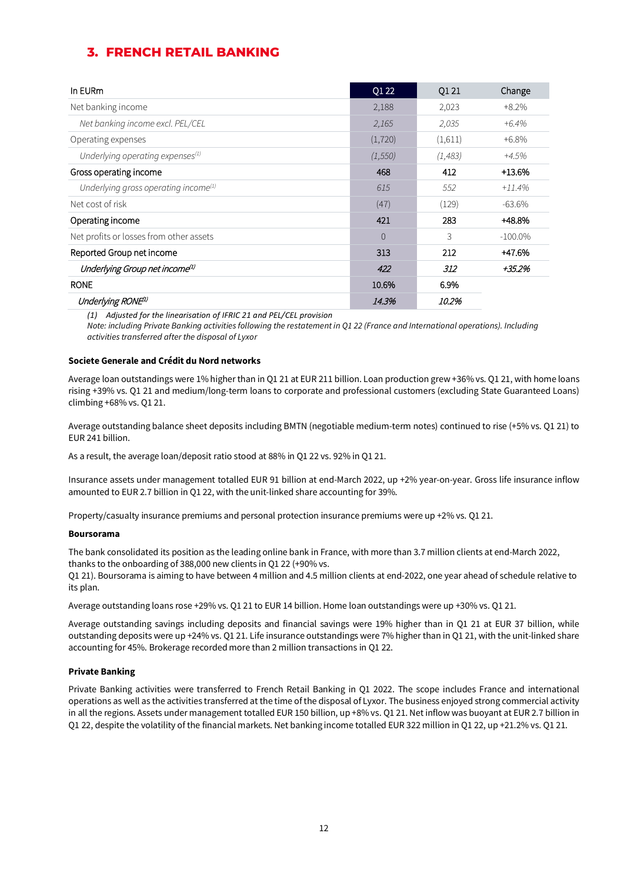## **3. FRENCH RETAIL BANKING**

| In EURm                                      | O1 22    | 01 21    | Change     |
|----------------------------------------------|----------|----------|------------|
| Net banking income                           | 2,188    | 2,023    | $+8.2%$    |
| Net banking income excl. PEL/CEL             | 2,165    | 2,035    | $+6.4\%$   |
| Operating expenses                           | (1,720)  | (1,611)  | $+6.8%$    |
| Underlying operating expenses <sup>(1)</sup> | (1, 550) | (1, 483) | $+4.5%$    |
| Gross operating income                       | 468      | 412      | $+13.6%$   |
| Underlying gross operating income $^{(1)}$   | 615      | 552      | +11.4%     |
| Net cost of risk                             | (47)     | (129)    | $-63.6%$   |
| Operating income                             | 421      | 283      | +48.8%     |
| Net profits or losses from other assets      | $\Omega$ | 3        | $-100.0\%$ |
| Reported Group net income                    | 313      | 212      | +47.6%     |
| Underlying Group net income <sup>(1)</sup>   | 422      | 312      | +35.2%     |
| <b>RONE</b>                                  | 10.6%    | 6.9%     |            |
| Underlying RONE <sup>(1)</sup>               | 14.3%    | 10.2%    |            |

*(1) Adjusted for the linearisation of IFRIC 21 and PEL/CEL provision*

*Note: including Private Banking activities following the restatement in Q1 22 (France and International operations). Including activities transferred after the disposal of Lyxor*

#### **Societe Generale and Crédit du Nord networks**

Average loan outstandings were 1% higher than in Q1 21 at EUR 211 billion. Loan production grew +36% vs. Q1 21, with home loans rising +39% vs. Q1 21 and medium/long-term loans to corporate and professional customers (excluding State Guaranteed Loans) climbing +68% vs. Q1 21.

Average outstanding balance sheet deposits including BMTN (negotiable medium-term notes) continued to rise (+5% vs. Q1 21) to EUR 241 billion.

As a result, the average loan/deposit ratio stood at 88% in Q1 22 vs. 92% in Q1 21.

Insurance assets under management totalled EUR 91 billion at end-March 2022, up +2% year-on-year. Gross life insurance inflow amounted to EUR 2.7 billion in Q1 22, with the unit-linked share accounting for 39%.

Property/casualty insurance premiums and personal protection insurance premiums were up +2% vs. Q1 21.

#### **Boursorama**

The bank consolidated its position as the leading online bank in France, with more than 3.7 million clients at end-March 2022, thanks to the onboarding of 388,000 new clients in Q1 22 (+90% vs.

Q1 21). Boursorama is aiming to have between 4 million and 4.5 million clients at end-2022, one year ahead of schedule relative to its plan.

Average outstanding loans rose +29% vs. Q1 21 to EUR 14 billion. Home loan outstandings were up +30% vs. Q1 21.

Average outstanding savings including deposits and financial savings were 19% higher than in Q1 21 at EUR 37 billion, while outstanding deposits were up +24% vs. Q1 21. Life insurance outstandings were 7% higher than in Q1 21, with the unit-linked share accounting for 45%. Brokerage recorded more than 2 million transactions in Q1 22.

#### **Private Banking**

Private Banking activities were transferred to French Retail Banking in Q1 2022. The scope includes France and international operations as well as the activities transferred at the time of the disposal of Lyxor. The business enjoyed strong commercial activity in all the regions. Assets under management totalled EUR 150 billion, up +8% vs. Q1 21. Net inflow was buoyant at EUR 2.7 billion in Q1 22, despite the volatility of the financial markets. Net banking income totalled EUR 322 million in Q1 22, up +21.2% vs. Q1 21.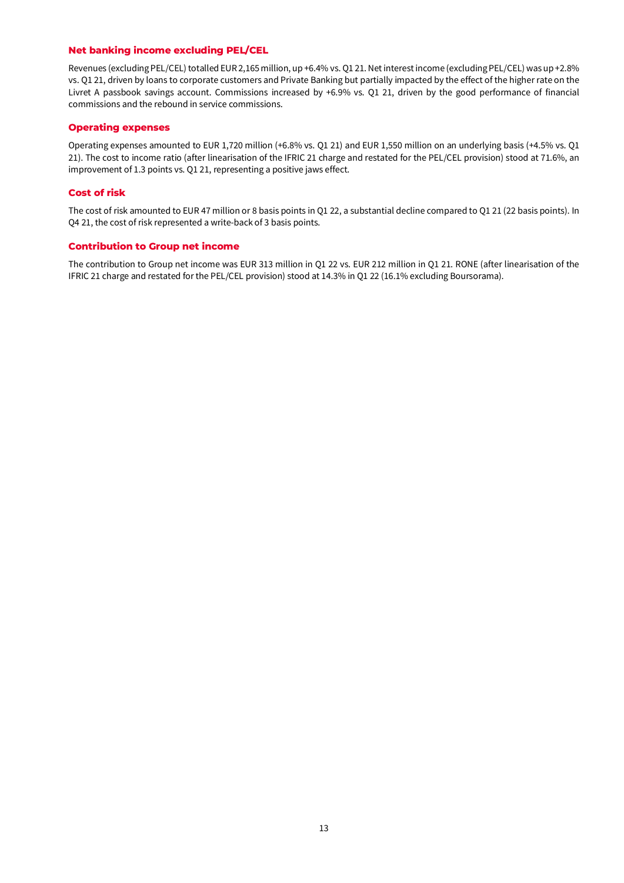#### **Net banking income excluding PEL/CEL**

Revenues (excluding PEL/CEL) totalled EUR 2,165 million, up +6.4% vs. Q1 21. Net interest income (excluding PEL/CEL) was up +2.8% vs. Q1 21, driven by loans to corporate customers and Private Banking but partially impacted by the effect of the higher rate on the Livret A passbook savings account. Commissions increased by +6.9% vs. Q1 21, driven by the good performance of financial commissions and the rebound in service commissions.

#### **Operating expenses**

Operating expenses amounted to EUR 1,720 million (+6.8% vs. Q1 21) and EUR 1,550 million on an underlying basis (+4.5% vs. Q1 21). The cost to income ratio (after linearisation of the IFRIC 21 charge and restated for the PEL/CEL provision) stood at 71.6%, an improvement of 1.3 points vs. Q1 21, representing a positive jaws effect.

#### **Cost of risk**

The cost of risk amounted to EUR 47 million or 8 basis points in Q1 22, a substantial decline compared to Q1 21 (22 basis points). In Q4 21, the cost of risk represented a write-back of 3 basis points.

#### **Contribution to Group net income**

The contribution to Group net income was EUR 313 million in Q1 22 vs. EUR 212 million in Q1 21. RONE (after linearisation of the IFRIC 21 charge and restated for the PEL/CEL provision) stood at 14.3% in Q1 22 (16.1% excluding Boursorama).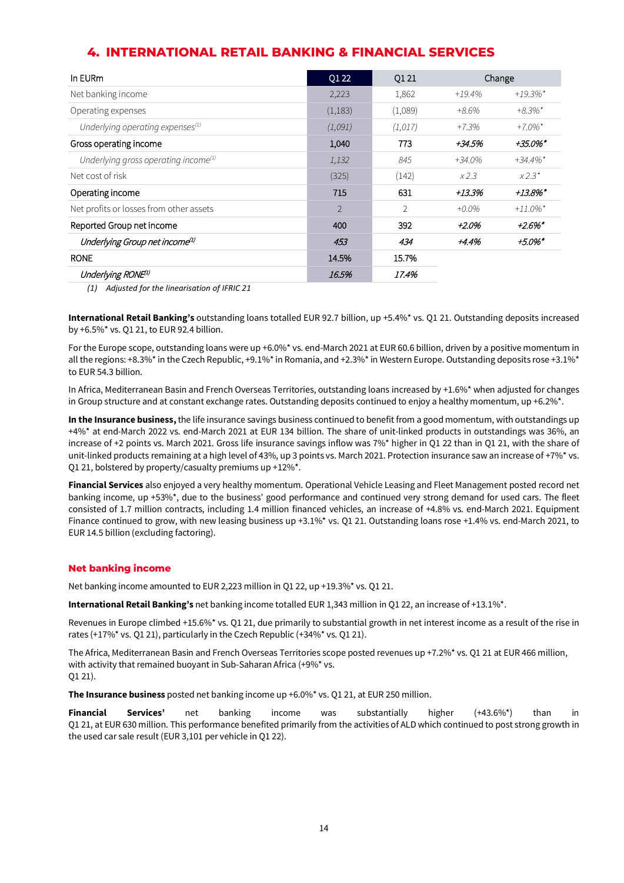### **4. INTERNATIONAL RETAIL BANKING & FINANCIAL SERVICES**

| In EURm                                      | Q1 22          | Q1 21   | Change    |                        |
|----------------------------------------------|----------------|---------|-----------|------------------------|
| Net banking income                           | 2,223          | 1,862   | $+19.4%$  | $+19.3\%$ <sup>*</sup> |
| Operating expenses                           | (1,183)        | (1,089) | $+8.6%$   | $+8.3\%$ *             |
| Underlying operating expenses <sup>(1)</sup> | (1,091)        | (1,017) | $+7.3%$   | $+7.0\%$ <sup>*</sup>  |
| Gross operating income                       | 1,040          | 773     | +34.5%    | +35.0%*                |
| Underlying gross operating income $^{(1)}$   | 1,132          | 845     | $+34.0\%$ | $+34.4\%$ <sup>*</sup> |
| Net cost of risk                             | (325)          | (142)   | x2.3      | $X2.3*$                |
| Operating income                             | 715            | 631     | +13.3%    | $+13.8\%$ *            |
| Net profits or losses from other assets      | $\overline{2}$ | 2       | $+0.0\%$  | $+11.0\%$ <sup>*</sup> |
| Reported Group net income                    | 400            | 392     | +2.0%     | $+2.6\%$ *             |
| Underlying Group net income <sup>(1)</sup>   | 453            | 434     | +4.4%     | +5.0%*                 |
| <b>RONE</b>                                  | 14.5%          | 15.7%   |           |                        |
| Underlying RONE <sup>(1)</sup>               | 16.5%          | 17.4%   |           |                        |

*(1) Adjusted for the linearisation of IFRIC 21* 

**International Retail Banking's** outstanding loans totalled EUR 92.7 billion, up +5.4%\* vs. Q1 21. Outstanding deposits increased by +6.5%\* vs. Q1 21, to EUR 92.4 billion.

For the Europe scope, outstanding loans were up +6.0%\* vs. end-March 2021 at EUR 60.6 billion, driven by a positive momentum in all the regions: +8.3%\* in the Czech Republic, +9.1%\* in Romania, and +2.3%\* in Western Europe. Outstanding deposits rose +3.1%\* to EUR 54.3 billion.

In Africa, Mediterranean Basin and French Overseas Territories, outstanding loans increased by +1.6%\* when adjusted for changes in Group structure and at constant exchange rates. Outstanding deposits continued to enjoy a healthy momentum, up +6.2% $*$ .

**In the Insurance business,** the life insurance savings business continued to benefit from a good momentum, with outstandings up +4%\* at end-March 2022 vs. end-March 2021 at EUR 134 billion. The share of unit-linked products in outstandings was 36%, an increase of +2 points vs. March 2021. Gross life insurance savings inflow was 7%\* higher in Q1 22 than in Q1 21, with the share of unit-linked products remaining at a high level of 43%, up 3 points vs. March 2021. Protection insurance saw an increase of +7%\* vs. Q1 21, bolstered by property/casualty premiums up +12%\*.

**Financial Services** also enjoyed a very healthy momentum. Operational Vehicle Leasing and Fleet Management posted record net banking income, up +53%\*, due to the business' good performance and continued very strong demand for used cars. The fleet consisted of 1.7 million contracts, including 1.4 million financed vehicles, an increase of +4.8% vs. end-March 2021. Equipment Finance continued to grow, with new leasing business up +3.1%\* vs. Q1 21. Outstanding loans rose +1.4% vs. end-March 2021, to EUR 14.5 billion (excluding factoring).

#### **Net banking income**

Net banking income amounted to EUR 2,223 million in Q1 22, up +19.3%\* vs. Q1 21.

**International Retail Banking's** net banking income totalled EUR 1,343 million in Q1 22, an increase of +13.1%\*.

Revenues in Europe climbed +15.6%\* vs. Q1 21, due primarily to substantial growth in net interest income as a result of the rise in rates (+17%\* vs. Q1 21), particularly in the Czech Republic (+34%\* vs. Q1 21).

The Africa, Mediterranean Basin and French Overseas Territories scope posted revenues up +7.2%\* vs. Q1 21 at EUR 466 million, with activity that remained buoyant in Sub-Saharan Africa (+9%\* vs. Q1 21).

**The Insurance business** posted net banking income up +6.0%\* vs. Q1 21, at EUR 250 million.

**Financial Services'** net banking income was substantially higher (+43.6%\*) than in Q1 21, at EUR 630 million. This performance benefited primarily from the activities of ALD which continued to post strong growth in the used car sale result (EUR 3,101 per vehicle in Q1 22).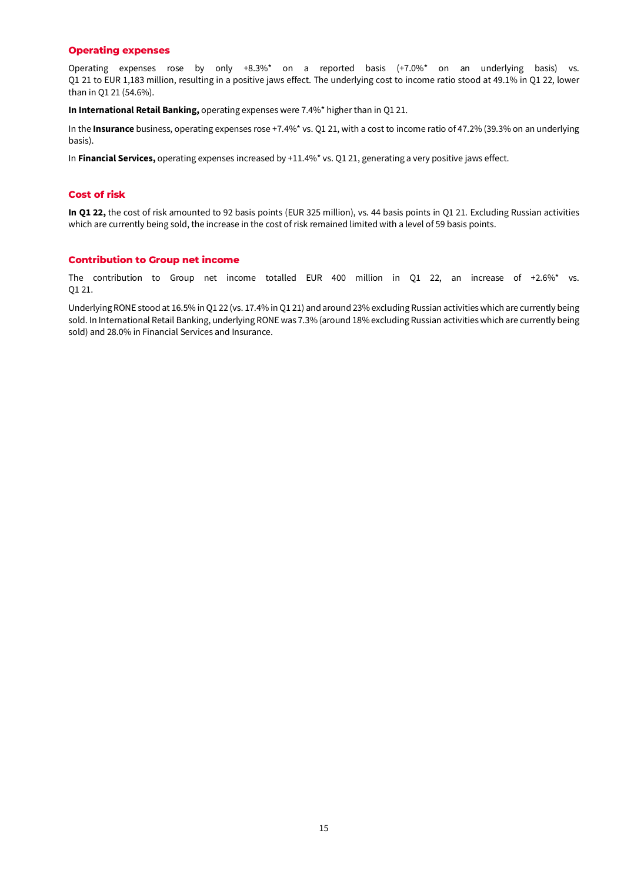#### **Operating expenses**

Operating expenses rose by only +8.3%\* on a reported basis (+7.0%\* on an underlying basis) vs. Q1 21 to EUR 1,183 million, resulting in a positive jaws effect. The underlying cost to income ratio stood at 49.1% in Q1 22, lower than in Q1 21 (54.6%).

**In International Retail Banking,** operating expenses were 7.4%\* higher than in Q1 21.

In the **Insurance** business, operating expenses rose +7.4%\* vs. Q1 21, with a cost to income ratio of 47.2% (39.3% on an underlying basis).

In **Financial Services,** operating expenses increased by +11.4%\* vs. Q1 21, generating a very positive jaws effect.

#### **Cost of risk**

**In Q1 22,** the cost of risk amounted to 92 basis points (EUR 325 million), vs. 44 basis points in Q1 21. Excluding Russian activities which are currently being sold, the increase in the cost of risk remained limited with a level of 59 basis points.

#### **Contribution to Group net income**

The contribution to Group net income totalled EUR 400 million in Q1 22, an increase of +2.6%\* vs. Q1 21.

Underlying RONE stood at 16.5% in Q1 22 (vs. 17.4% in Q1 21) and around 23% excluding Russian activities which are currently being sold. In International Retail Banking, underlying RONE was 7.3% (around 18% excluding Russian activities which are currently being sold) and 28.0% in Financial Services and Insurance.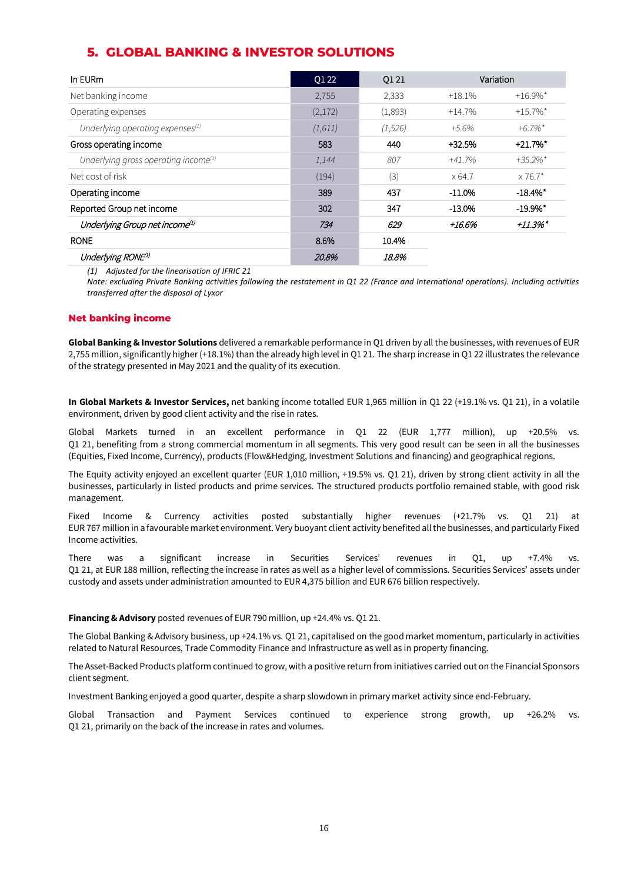### **5. GLOBAL BANKING & INVESTOR SOLUTIONS**

| In EURm                                          | Q1 22   | Q1 21    | Variation |                        |
|--------------------------------------------------|---------|----------|-----------|------------------------|
| Net banking income                               | 2,755   | 2,333    | $+18.1%$  | $+16.9\%$ <sup>*</sup> |
| Operating expenses                               | (2,172) | (1,893)  | $+14.7%$  | $+15.7\%$ *            |
| Underlying operating expenses $(1)$              | (1,611) | (1, 526) | $+5.6\%$  | $+6.7\%$ <sup>*</sup>  |
| Gross operating income                           | 583     | 440      | $+32.5%$  | $+21.7%$ *             |
| Underlying gross operating income <sup>(1)</sup> | 1,144   | 807      | +41.7%    | $+35.2\%$ <sup>*</sup> |
| Net cost of risk                                 | (194)   | (3)      | x 64.7    | $\times 76.7^*$        |
| Operating income                                 | 389     | 437      | $-11.0\%$ | $-18.4\%$ <sup>*</sup> |
| Reported Group net income                        | 302     | 347      | $-13.0%$  | $-19.9\%$ <sup>*</sup> |
| Underlying Group net income <sup>(1)</sup>       | 734     | 629      | +16.6%    | $+11.3\%$ *            |
| <b>RONE</b>                                      | 8.6%    | 10.4%    |           |                        |
| Underlying RONE <sup>(1)</sup>                   | 20.8%   | 18.8%    |           |                        |

*(1) Adjusted for the linearisation of IFRIC 21* 

*Note: excluding Private Banking activities following the restatement in Q1 22 (France and International operations). Including activities transferred after the disposal of Lyxor*

#### **Net banking income**

**Global Banking & Investor Solutions** delivered a remarkable performance in Q1 driven by all the businesses, with revenues of EUR 2,755 million, significantly higher (+18.1%) than the already high level in Q1 21. The sharp increase in Q1 22 illustrates the relevance of the strategy presented in May 2021 and the quality of its execution.

**In Global Markets & Investor Services,** net banking income totalled EUR 1,965 million in Q1 22 (+19.1% vs. Q1 21), in a volatile environment, driven by good client activity and the rise in rates.

Global Markets turned in an excellent performance in Q1 22 (EUR 1,777 million), up +20.5% vs. Q1 21, benefiting from a strong commercial momentum in all segments. This very good result can be seen in all the businesses (Equities, Fixed Income, Currency), products (Flow&Hedging, Investment Solutions and financing) and geographical regions.

The Equity activity enjoyed an excellent quarter (EUR 1,010 million, +19.5% vs. Q1 21), driven by strong client activity in all the businesses, particularly in listed products and prime services. The structured products portfolio remained stable, with good risk management.

Fixed Income & Currency activities posted substantially higher revenues (+21.7% vs. Q1 21) at EUR 767 million in a favourable market environment. Very buoyant client activity benefited all the businesses, and particularly Fixed Income activities.

There was a significant increase in Securities Services' revenues in Q1, up +7.4% vs. Q1 21, at EUR 188 million, reflecting the increase in rates as well as a higher level of commissions. Securities Services' assets under custody and assets under administration amounted to EUR 4,375 billion and EUR 676 billion respectively.

#### **Financing & Advisory** posted revenues of EUR 790 million, up +24.4% vs. Q1 21.

The Global Banking & Advisory business, up +24.1% vs. Q1 21, capitalised on the good market momentum, particularly in activities related to Natural Resources, Trade Commodity Finance and Infrastructure as well as in property financing.

The Asset-Backed Products platform continued to grow, with a positive return from initiatives carried out on the Financial Sponsors client segment.

Investment Banking enjoyed a good quarter, despite a sharp slowdown in primary market activity since end-February.

Global Transaction and Payment Services continued to experience strong growth, up +26.2% vs. Q1 21, primarily on the back of the increase in rates and volumes.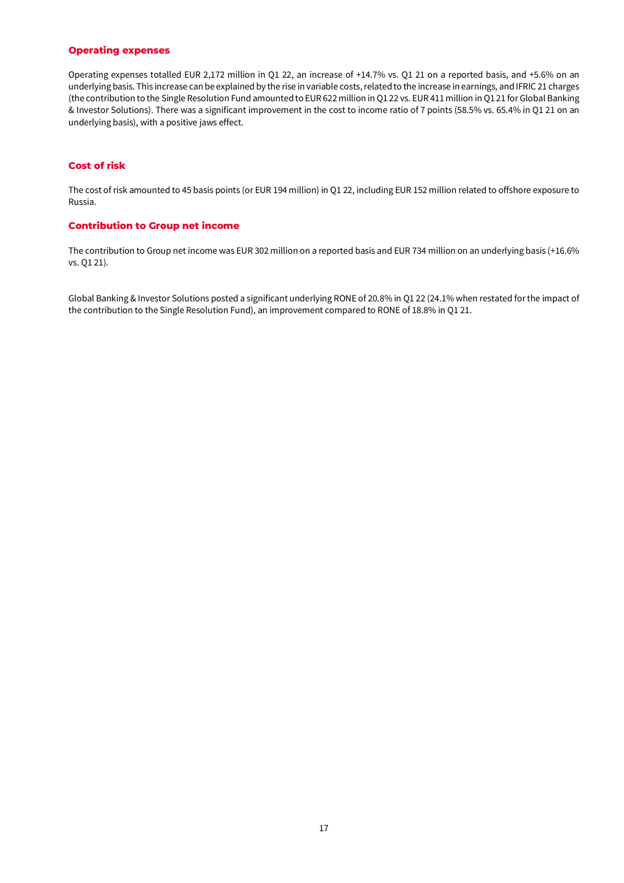#### **Operating expenses**

Operating expenses totalled EUR 2,172 million in Q1 22, an increase of +14.7% vs. Q1 21 on a reported basis, and +5.6% on an underlying basis. This increase can be explained by the rise in variable costs, related to the increase in earnings, and IFRIC 21 charges (the contribution to the Single Resolution Fund amounted to EUR 622 million in Q1 22 vs. EUR 411 million in Q1 21 for Global Banking & Investor Solutions). There was a significant improvement in the cost to income ratio of 7 points (58.5% vs. 65.4% in Q1 21 on an underlying basis), with a positive jaws effect.

#### **Cost of risk**

The cost of risk amounted to 45 basis points (or EUR 194 million) in Q1 22, including EUR 152 million related to offshore exposure to Russia.

#### **Contribution to Group net income**

The contribution to Group net income was EUR 302 million on a reported basis and EUR 734 million on an underlying basis (+16.6% vs. Q1 21).

Global Banking & Investor Solutions posted a significant underlying RONE of 20.8% in Q1 22 (24.1% when restated for the impact of the contribution to the Single Resolution Fund), an improvement compared to RONE of 18.8% in Q1 21.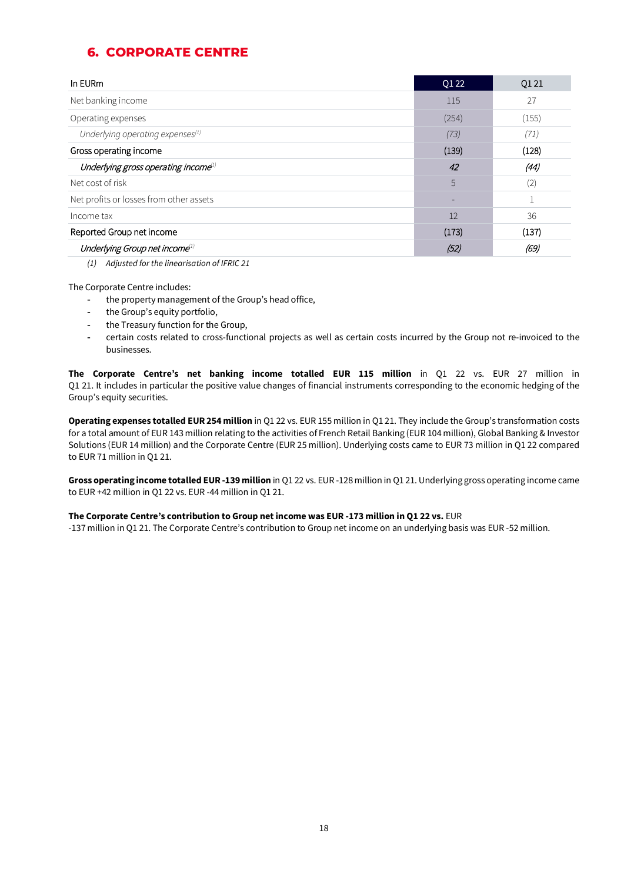# **6. CORPORATE CENTRE**

| In EURm                                                      | Q1 22 | Q1 21 |
|--------------------------------------------------------------|-------|-------|
| Net banking income                                           | 115   | 27    |
| Operating expenses                                           | (254) | (155) |
| Underlying operating expenses <sup>(1)</sup>                 | (73)  | (71)  |
| Gross operating income                                       | (139) | (128) |
| Underlying gross operating income <sup><math>1)</math></sup> | 42    | (44)  |
| Net cost of risk                                             | 5     | (2)   |
| Net profits or losses from other assets                      | -     |       |
| Income tax                                                   | 12    | 36    |
| Reported Group net income                                    | (173) | (137) |
| Underlying Group net income <sup>1)</sup>                    | (52)  | (69)  |

*(1) Adjusted for the linearisation of IFRIC 21*

The Corporate Centre includes:

- the property management of the Group's head office,
- the Group's equity portfolio,
- the Treasury function for the Group,
- certain costs related to cross-functional projects as well as certain costs incurred by the Group not re-invoiced to the businesses.

**The Corporate Centre's net banking income totalled EUR 115 million** in Q1 22 vs. EUR 27 million in Q1 21. It includes in particular the positive value changes of financial instruments corresponding to the economic hedging of the Group's equity securities.

**Operating expenses totalled EUR 254 million** in Q1 22 vs. EUR 155 million in Q1 21. They include the Group's transformation costs for a total amount of EUR 143 million relating to the activities of French Retail Banking (EUR 104 million), Global Banking & Investor Solutions (EUR 14 million) and the Corporate Centre (EUR 25 million). Underlying costs came to EUR 73 million in Q1 22 compared to EUR 71 million in Q1 21.

**Gross operating income totalled EUR -139 million** in Q1 22 vs. EUR -128 million in Q1 21. Underlying gross operating income came to EUR +42 million in Q1 22 vs. EUR -44 million in Q1 21.

#### **The Corporate Centre's contribution to Group net income was EUR -173 million in Q1 22 vs.** EUR

-137 million in Q1 21. The Corporate Centre's contribution to Group net income on an underlying basis was EUR -52 million.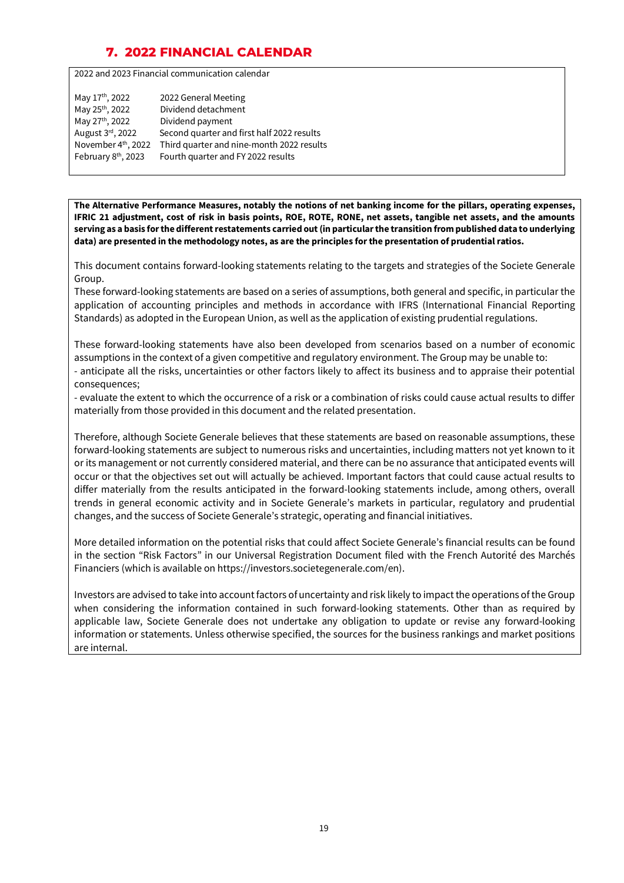# **7. 2022 FINANCIAL CALENDAR**

2022 and 2023 Financial communication calendar

| May 17 <sup>th</sup> , 2022     | 2022 General Meeting                       |
|---------------------------------|--------------------------------------------|
| May 25 <sup>th</sup> , 2022     | Dividend detachment                        |
| May 27th, 2022                  | Dividend payment                           |
| August 3rd, 2022                | Second quarter and first half 2022 results |
| November 4 <sup>th</sup> , 2022 | Third quarter and nine-month 2022 results  |
| February 8 <sup>th</sup> , 2023 | Fourth quarter and FY 2022 results         |

**The Alternative Performance Measures, notably the notions of net banking income for the pillars, operating expenses, IFRIC 21 adjustment, cost of risk in basis points, ROE, ROTE, RONE, net assets, tangible net assets, and the amounts serving as a basis for the different restatements carried out (in particular the transition from published data to underlying data) are presented in the methodology notes, as are the principles for the presentation of prudential ratios.** 

This document contains forward-looking statements relating to the targets and strategies of the Societe Generale Group.

These forward-looking statements are based on a series of assumptions, both general and specific, in particular the application of accounting principles and methods in accordance with IFRS (International Financial Reporting Standards) as adopted in the European Union, as well as the application of existing prudential regulations.

These forward-looking statements have also been developed from scenarios based on a number of economic assumptions in the context of a given competitive and regulatory environment. The Group may be unable to: - anticipate all the risks, uncertainties or other factors likely to affect its business and to appraise their potential consequences;

- evaluate the extent to which the occurrence of a risk or a combination of risks could cause actual results to differ materially from those provided in this document and the related presentation.

Therefore, although Societe Generale believes that these statements are based on reasonable assumptions, these forward-looking statements are subject to numerous risks and uncertainties, including matters not yet known to it or its management or not currently considered material, and there can be no assurance that anticipated events will occur or that the objectives set out will actually be achieved. Important factors that could cause actual results to differ materially from the results anticipated in the forward-looking statements include, among others, overall trends in general economic activity and in Societe Generale's markets in particular, regulatory and prudential changes, and the success of Societe Generale's strategic, operating and financial initiatives.

More detailed information on the potential risks that could affect Societe Generale's financial results can be found in the section "Risk Factors" in our Universal Registration Document filed with the French Autorité des Marchés Financiers (which is available on https://investors.societegenerale.com/en).

Investors are advised to take into account factors of uncertainty and risk likely to impact the operations of the Group when considering the information contained in such forward-looking statements. Other than as required by applicable law, Societe Generale does not undertake any obligation to update or revise any forward-looking information or statements. Unless otherwise specified, the sources for the business rankings and market positions are internal.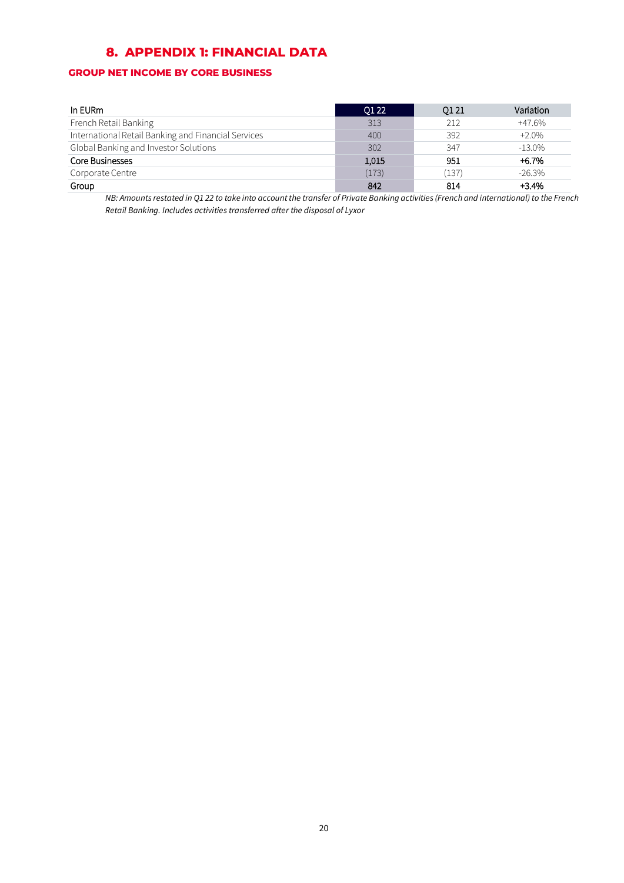# **8. APPENDIX 1: FINANCIAL DATA**

### **GROUP NET INCOME BY CORE BUSINESS**

| In EURm                                             | O1 22 | Q1 21 | Variation |
|-----------------------------------------------------|-------|-------|-----------|
| French Retail Banking                               | 313   | 212   | $+47.6%$  |
| International Retail Banking and Financial Services | 400   | 392   | $+2.0%$   |
| Global Banking and Investor Solutions               | 302   | 347   | $-13.0\%$ |
| Core Businesses                                     | 1,015 | 951   | $+6.7%$   |
| Corporate Centre                                    | (173) | (137) | $-26.3\%$ |
| Group                                               | 842   | 814   | $+3.4%$   |

*NB: Amounts restated in Q1 22 to take into account the transfer of Private Banking activities (French and international) to the French Retail Banking. Includes activities transferred after the disposal of Lyxor*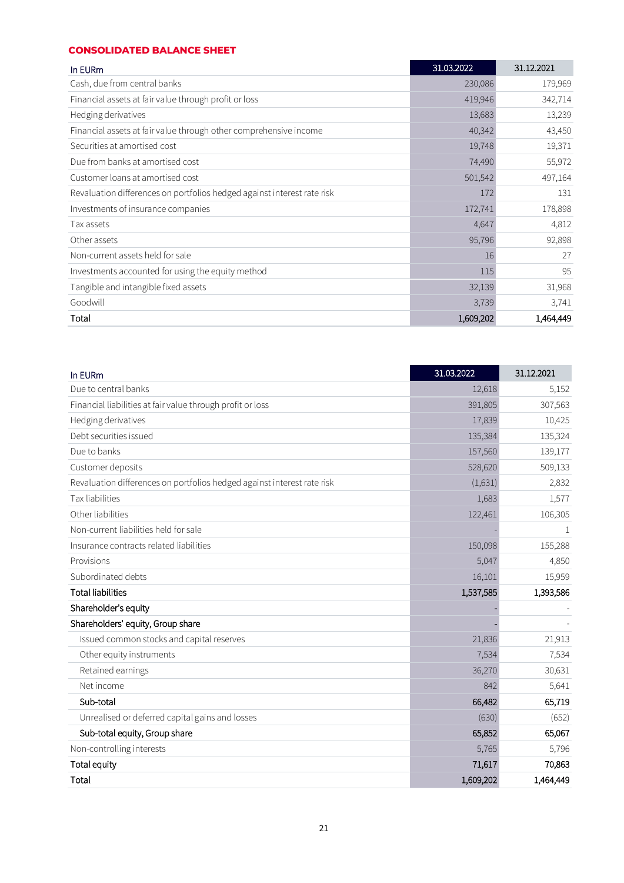#### **CONSOLIDATED BALANCE SHEET**

| In EURm                                                                 | 31.03.2022 | 31.12.2021 |
|-------------------------------------------------------------------------|------------|------------|
| Cash, due from central banks                                            | 230,086    | 179,969    |
| Financial assets at fair value through profit or loss                   | 419,946    | 342,714    |
| Hedging derivatives                                                     | 13,683     | 13,239     |
| Financial assets at fair value through other comprehensive income       | 40,342     | 43,450     |
| Securities at amortised cost                                            | 19,748     | 19,371     |
| Due from banks at amortised cost                                        | 74,490     | 55,972     |
| Customer loans at amortised cost                                        | 501,542    | 497,164    |
| Revaluation differences on portfolios hedged against interest rate risk | 172        | 131        |
| Investments of insurance companies                                      | 172,741    | 178,898    |
| Tax assets                                                              | 4,647      | 4,812      |
| Other assets                                                            | 95,796     | 92,898     |
| Non-current assets held for sale                                        | 16         | 27         |
| Investments accounted for using the equity method                       | 115        | 95         |
| Tangible and intangible fixed assets                                    | 32,139     | 31,968     |
| Goodwill                                                                | 3,739      | 3,741      |
| Total                                                                   | 1,609,202  | 1,464,449  |

| In EURm                                                                 | 31.03.2022 | 31.12.2021 |
|-------------------------------------------------------------------------|------------|------------|
| Due to central banks                                                    | 12,618     | 5,152      |
| Financial liabilities at fair value through profit or loss              | 391,805    | 307,563    |
| Hedging derivatives                                                     | 17,839     | 10,425     |
| Debt securities issued                                                  | 135,384    | 135,324    |
| Due to banks                                                            | 157,560    | 139,177    |
| Customer deposits                                                       | 528,620    | 509,133    |
| Revaluation differences on portfolios hedged against interest rate risk | (1,631)    | 2,832      |
| Tax liabilities                                                         | 1,683      | 1,577      |
| Other liabilities                                                       | 122,461    | 106,305    |
| Non-current liabilities held for sale                                   |            | 1          |
| Insurance contracts related liabilities                                 | 150,098    | 155,288    |
| Provisions                                                              | 5,047      | 4,850      |
| Subordinated debts                                                      | 16,101     | 15,959     |
| <b>Total liabilities</b>                                                | 1,537,585  | 1,393,586  |
| Shareholder's equity                                                    |            |            |
| Shareholders' equity, Group share                                       |            |            |
| Issued common stocks and capital reserves                               | 21,836     | 21,913     |
| Other equity instruments                                                | 7,534      | 7,534      |
| Retained earnings                                                       | 36,270     | 30,631     |
| Net income                                                              | 842        | 5,641      |
| Sub-total                                                               | 66,482     | 65,719     |
| Unrealised or deferred capital gains and losses                         | (630)      | (652)      |
| Sub-total equity, Group share                                           | 65,852     | 65,067     |
| Non-controlling interests                                               | 5,765      | 5,796      |
| <b>Total equity</b>                                                     | 71,617     | 70,863     |
| Total                                                                   | 1,609,202  | 1,464,449  |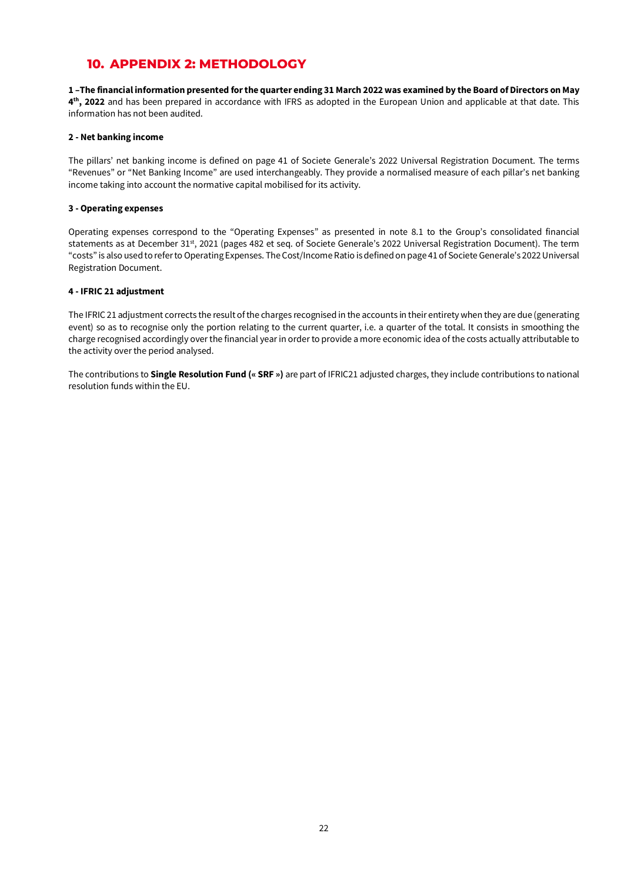### **10. APPENDIX 2: METHODOLOGY**

**1 –The financial information presented for the quarter ending 31 March 2022 was examined by the Board of Directors on May 4th, 2022** and has been prepared in accordance with IFRS as adopted in the European Union and applicable at that date. This information has not been audited.

#### **2 - Net banking income**

The pillars' net banking income is defined on page 41 of Societe Generale's 2022 Universal Registration Document. The terms "Revenues" or "Net Banking Income" are used interchangeably. They provide a normalised measure of each pillar's net banking income taking into account the normative capital mobilised for its activity.

#### **3 - Operating expenses**

Operating expenses correspond to the "Operating Expenses" as presented in note 8.1 to the Group's consolidated financial statements as at December 31<sup>st</sup>, 2021 (pages 482 et seq. of Societe Generale's 2022 Universal Registration Document). The term "costs" is also used to refer to Operating Expenses. The Cost/Income Ratio is defined on page 41 of Societe Generale's 2022 Universal Registration Document.

#### **4 - IFRIC 21 adjustment**

The IFRIC 21 adjustment corrects the result of the charges recognised in the accounts in their entirety when they are due (generating event) so as to recognise only the portion relating to the current quarter, i.e. a quarter of the total. It consists in smoothing the charge recognised accordingly over the financial year in order to provide a more economic idea of the costs actually attributable to the activity over the period analysed.

The contributions to **Single Resolution Fund (« SRF »)** are part of IFRIC21 adjusted charges, they include contributions to national resolution funds within the EU.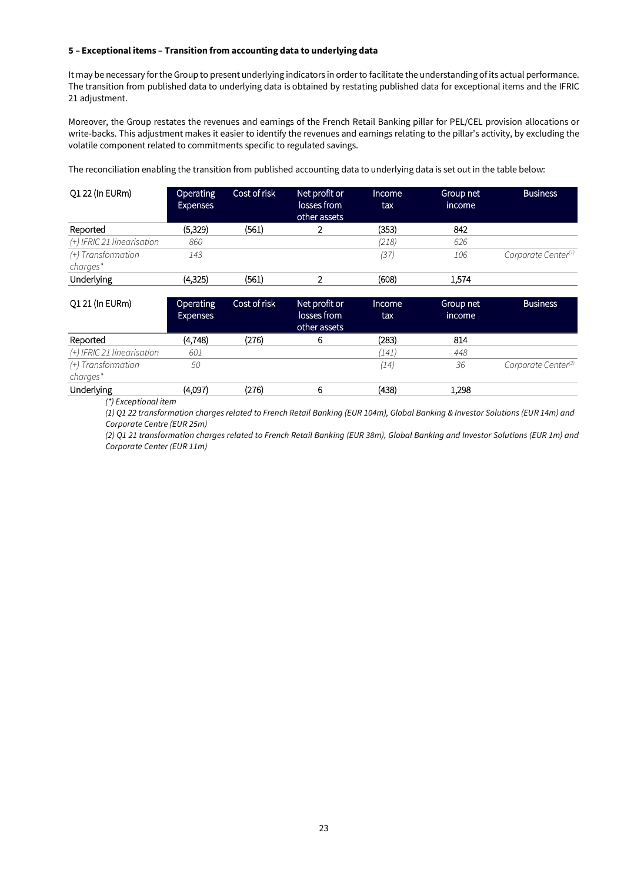#### **5 – Exceptional items – Transition from accounting data to underlying data**

It may be necessary for the Group to present underlying indicators in order to facilitate the understanding of its actual performance. The transition from published data to underlying data is obtained by restating published data for exceptional items and the IFRIC 21 adjustment.

Moreover, the Group restates the revenues and earnings of the French Retail Banking pillar for PEL/CEL provision allocations or write-backs. This adjustment makes it easier to identify the revenues and earnings relating to the pillar's activity, by excluding the volatile component related to commitments specific to regulated savings.

The reconciliation enabling the transition from published accounting data to underlying data is set out in the table below:

| Q1 22 (In EURm)                | <b>Operating</b><br><b>Expenses</b> | Cost of risk | Net profit or<br>losses from<br>other assets | Income<br>tax | Group net<br>income | <b>Business</b>                 |
|--------------------------------|-------------------------------------|--------------|----------------------------------------------|---------------|---------------------|---------------------------------|
| Reported                       | (5,329)                             | (561)        |                                              | (353)         | 842                 |                                 |
| (+) IFRIC 21 linearisation     | 860                                 |              |                                              | (218)         | 626                 |                                 |
| (+) Transformation<br>charges* | 143                                 |              |                                              | (37)          | 106                 | Corporate Center <sup>(1)</sup> |
| Underlying                     | (4,325)                             | (561)        | $\overline{2}$                               | (608)         | 1,574               |                                 |
| Q1 21 (In EURm)                | Operating<br><b>Expenses</b>        | Cost of risk | Net profit or<br>losses from<br>other assets | Income<br>tax | Group net<br>income | <b>Business</b>                 |
| Reported                       | (4, 748)                            | (276)        | 6                                            | (283)         | 814                 |                                 |
| (+) IFRIC 21 linearisation     | 601                                 |              |                                              | (141)         | 448                 |                                 |
| (+) Transformation<br>charges* | 50                                  |              |                                              | (14)          | 36                  | Corporate Center <sup>(2)</sup> |
| Underlying                     | (4,097)                             | (276)        | 6                                            | (438)         | 1,298               |                                 |

*(\*) Exceptional item*

*(1) Q1 22 transformation charges related to French Retail Banking (EUR 104m), Global Banking & Investor Solutions (EUR 14m) and Corporate Centre (EUR 25m)* 

*(2) Q1 21 transformation charges related to French Retail Banking (EUR 38m), Global Banking and Investor Solutions (EUR 1m) and Corporate Center (EUR 11m)*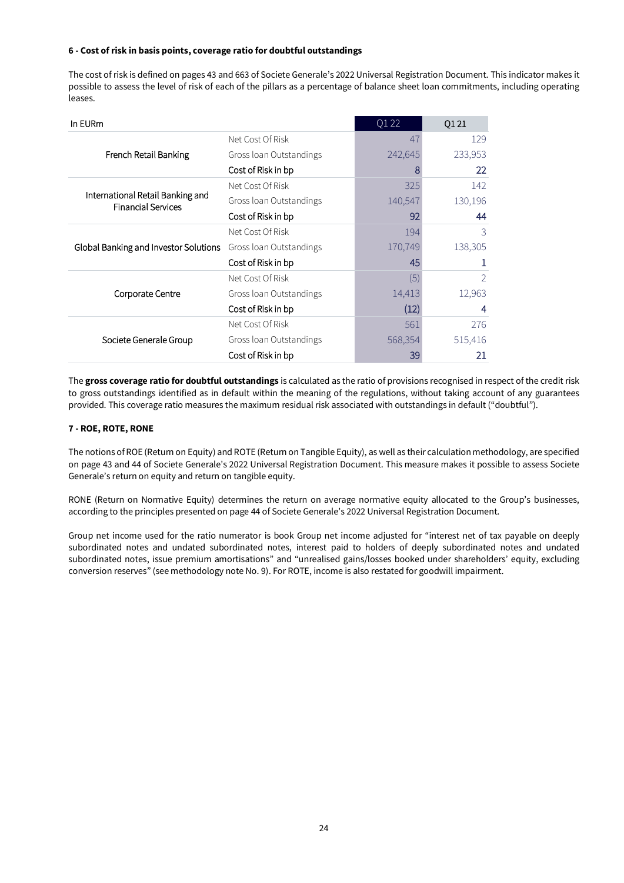#### **6 - Cost of risk in basis points, coverage ratio for doubtful outstandings**

The cost of risk is defined on pages 43 and 663 of Societe Generale's 2022 Universal Registration Document. This indicator makes it possible to assess the level of risk of each of the pillars as a percentage of balance sheet loan commitments, including operating leases.

| In EURm                                                       |                         | Q1 22          | Q1 21          |
|---------------------------------------------------------------|-------------------------|----------------|----------------|
|                                                               | Net Cost Of Risk        | 4 <sub>1</sub> | 129            |
| French Retail Banking                                         | Gross loan Outstandings | 242,645        | 233,953        |
|                                                               | Cost of Risk in bp      |                | 22             |
|                                                               | Net Cost Of Risk        | 325            | 142            |
| International Retail Banking and<br><b>Financial Services</b> | Gross loan Outstandings | 140,547        | 130,196        |
|                                                               | Cost of Risk in bp      | 92             | 44             |
|                                                               | Net Cost Of Risk        | 194            | 3              |
| Global Banking and Investor Solutions                         | Gross loan Outstandings | 170,749        | 138,305        |
|                                                               | Cost of Risk in bp      | 45             |                |
|                                                               | Net Cost Of Risk        | (5)            | $\overline{2}$ |
| Corporate Centre                                              | Gross loan Outstandings | 14,413         | 12,963         |
|                                                               | Cost of Risk in bp      | (12)           | 4              |
|                                                               | Net Cost Of Risk        | 561            | 276            |
| Societe Generale Group                                        | Gross loan Outstandings | 568,354        | 515,416        |
|                                                               | Cost of Risk in bp      | 39             | 21             |

The **gross coverage ratio for doubtful outstandings** is calculated as the ratio of provisions recognised in respect of the credit risk to gross outstandings identified as in default within the meaning of the regulations, without taking account of any guarantees provided. This coverage ratio measures the maximum residual risk associated with outstandings in default ("doubtful").

#### **7 - ROE, ROTE, RONE**

The notions of ROE (Return on Equity) and ROTE (Return on Tangible Equity), as well as their calculation methodology, are specified on page 43 and 44 of Societe Generale's 2022 Universal Registration Document. This measure makes it possible to assess Societe Generale's return on equity and return on tangible equity.

RONE (Return on Normative Equity) determines the return on average normative equity allocated to the Group's businesses, according to the principles presented on page 44 of Societe Generale's 2022 Universal Registration Document.

Group net income used for the ratio numerator is book Group net income adjusted for "interest net of tax payable on deeply subordinated notes and undated subordinated notes, interest paid to holders of deeply subordinated notes and undated subordinated notes, issue premium amortisations" and "unrealised gains/losses booked under shareholders' equity, excluding conversion reserves" (see methodology note No. 9). For ROTE, income is also restated for goodwill impairment.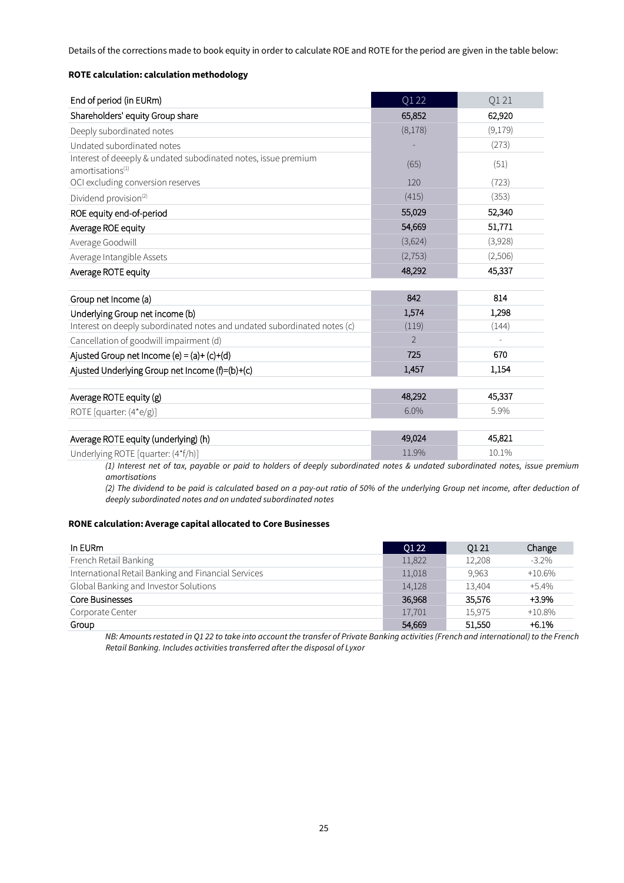Details of the corrections made to book equity in order to calculate ROE and ROTE for the period are given in the table below:

#### **ROTE calculation: calculation methodology**

| End of period (in EURm)                                                                        | Q1 22          | Q121    |
|------------------------------------------------------------------------------------------------|----------------|---------|
| Shareholders' equity Group share                                                               | 65,852         | 62,920  |
| Deeply subordinated notes                                                                      | (8,178)        | (9,179) |
| Undated subordinated notes                                                                     |                | (273)   |
| Interest of deeeply & undated subodinated notes, issue premium<br>amortisations <sup>(1)</sup> | (65)           | (51)    |
| OCI excluding conversion reserves                                                              | 120            | (723)   |
| Dividend provision <sup>(2)</sup>                                                              | (415)          | (353)   |
| ROE equity end-of-period                                                                       | 55,029         | 52,340  |
| Average ROE equity                                                                             | 54,669         | 51,771  |
| Average Goodwill                                                                               | (3,624)        | (3,928) |
| Average Intangible Assets                                                                      | (2, 753)       | (2,506) |
| Average ROTE equity                                                                            | 48,292         | 45,337  |
| Group net Income (a)                                                                           | 842            | 814     |
| Underlying Group net income (b)                                                                | 1,574          | 1,298   |
| Interest on deeply subordinated notes and undated subordinated notes (c)                       | (119)          | (144)   |
| Cancellation of goodwill impairment (d)                                                        | $\overline{2}$ |         |
| Ajusted Group net Income (e) = $(a)+(c)+(d)$                                                   | 725            | 670     |
| Ajusted Underlying Group net Income (f)=(b)+(c)                                                | 1.457          | 1,154   |
| Average ROTE equity (g)                                                                        | 48,292         | 45,337  |
| ROTE [quarter: (4*e/g)]                                                                        | 6.0%           | 5.9%    |
|                                                                                                |                |         |
| Average ROTE equity (underlying) (h)                                                           | 49,024         | 45,821  |
|                                                                                                |                |         |

Underlying ROTE [quarter: (4\*f/h)] 10.1% 10.1% 10.1% 10.1% 10.1% 10.1% 10.1% *(1) Interest net of tax, payable or paid to holders of deeply subordinated notes & undated subordinated notes, issue premium* 

*amortisations*

*(2) The dividend to be paid is calculated based on a pay-out ratio of 50% of the underlying Group net income, after deduction of deeply subordinated notes and on undated subordinated notes*

#### **RONE calculation: Average capital allocated to Core Businesses**

| In EURm                                             | 01 22  | 0121   | Change    |
|-----------------------------------------------------|--------|--------|-----------|
| French Retail Banking                               | 11,822 | 12.208 | $-3.2\%$  |
| International Retail Banking and Financial Services | 11,018 | 9.963  | $+10.6\%$ |
| Global Banking and Investor Solutions               | 14,128 | 13.404 | $+5.4%$   |
| Core Businesses                                     | 36.968 | 35.576 | $+3.9%$   |
| Corporate Center                                    | 17,701 | 15.975 | $+10.8\%$ |
| Group                                               | 54,669 | 51.550 | $+6.1%$   |

*NB: Amounts restated in Q1 22 to take into account the transfer of Private Banking activities (French and international) to the French Retail Banking. Includes activities transferred after the disposal of Lyxor*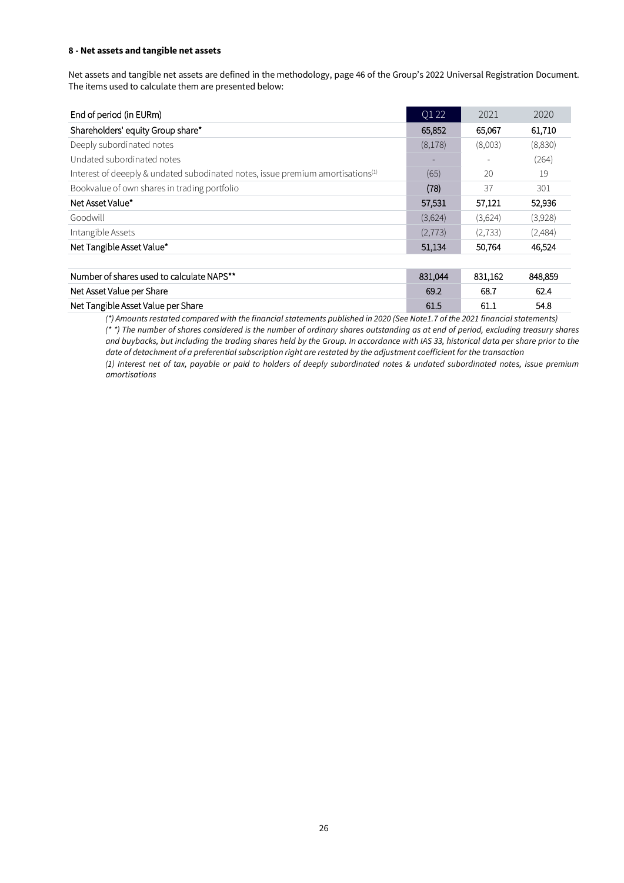#### **8 - Net assets and tangible net assets**

Net assets and tangible net assets are defined in the methodology, page 46 of the Group's 2022 Universal Registration Document. The items used to calculate them are presented below:

| End of period (in EURm)                                                                     | Q1 22                    | 2021     | 2020    |
|---------------------------------------------------------------------------------------------|--------------------------|----------|---------|
| Shareholders' equity Group share*                                                           | 65,852                   | 65,067   | 61,710  |
| Deeply subordinated notes                                                                   | (8,178)                  | (8,003)  | (8,830) |
| Undated subordinated notes                                                                  | $\overline{\phantom{a}}$ |          | (264)   |
| Interest of deeeply & undated subodinated notes, issue premium amortisations <sup>(1)</sup> | (65)                     | 20       | 19      |
| Bookvalue of own shares in trading portfolio                                                | (78)                     | 37       | 301     |
| Net Asset Value*                                                                            | 57,531                   | 57,121   | 52,936  |
| Goodwill                                                                                    | (3,624)                  | (3,624)  | (3,928) |
| Intangible Assets                                                                           | (2,773)                  | (2, 733) | (2,484) |
| Net Tangible Asset Value*                                                                   | 51,134                   | 50,764   | 46,524  |
|                                                                                             |                          |          |         |
| Number of shares used to calculate NAPS**                                                   | 831,044                  | 831,162  | 848,859 |
| Net Asset Value per Share                                                                   | 69.2                     | 68.7     | 62.4    |
| Net Tangible Asset Value per Share                                                          | 61.5                     | 61.1     | 54.8    |

*(\*) Amounts restated compared with the financial statements published in 2020 (See Note1.7 of the 2021 financial statements) (\* \*) The number of shares considered is the number of ordinary shares outstanding as at end of period, excluding treasury shares and buybacks, but including the trading shares held by the Group. In accordance with IAS 33, historical data per share prior to the date of detachment of a preferential subscription right are restated by the adjustment coefficient for the transaction (1) Interest net of tax, payable or paid to holders of deeply subordinated notes & undated subordinated notes, issue premium amortisations*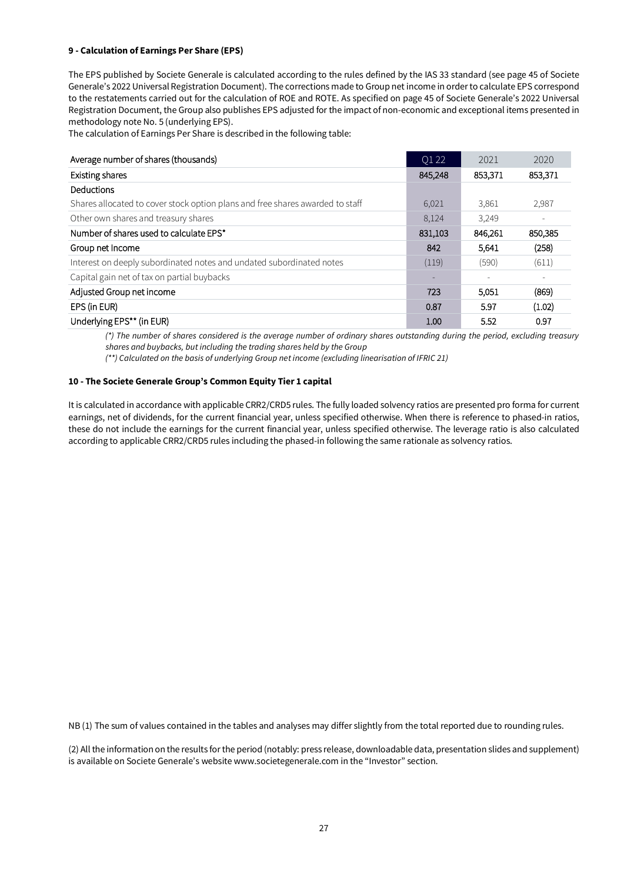#### **9 - Calculation of Earnings Per Share (EPS)**

The EPS published by Societe Generale is calculated according to the rules defined by the IAS 33 standard (see page 45 of Societe Generale's 2022 Universal Registration Document). The corrections made to Group net income in order to calculate EPS correspond to the restatements carried out for the calculation of ROE and ROTE. As specified on page 45 of Societe Generale's 2022 Universal Registration Document, the Group also publishes EPS adjusted for the impact of non-economic and exceptional items presented in methodology note No. 5 (underlying EPS).

The calculation of Earnings Per Share is described in the following table:

| Average number of shares (thousands)                                          | Q1 22   | 2021    | 2020    |
|-------------------------------------------------------------------------------|---------|---------|---------|
| Existing shares                                                               | 845,248 | 853,371 | 853,371 |
| Deductions                                                                    |         |         |         |
| Shares allocated to cover stock option plans and free shares awarded to staff | 6,021   | 3,861   | 2,987   |
| Other own shares and treasury shares                                          | 8,124   | 3,249   |         |
| Number of shares used to calculate EPS*                                       | 831,103 | 846,261 | 850,385 |
| Group net Income                                                              | 842     | 5.641   | (258)   |
| Interest on deeply subordinated notes and undated subordinated notes          | (119)   | (590)   | (611)   |
| Capital gain net of tax on partial buybacks                                   | ٠       | ٠       |         |
| Adjusted Group net income                                                     | 723     | 5,051   | (869)   |
| EPS (in EUR)                                                                  | 0.87    | 5.97    | (1.02)  |
| Underlying EPS** (in EUR)                                                     | 1.00    | 5.52    | 0.97    |

*(\*) The number of shares considered is the average number of ordinary shares outstanding during the period, excluding treasury shares and buybacks, but including the trading shares held by the Group*

*(\*\*) Calculated on the basis of underlying Group net income (excluding linearisation of IFRIC 21)*

#### **10 - The Societe Generale Group's Common Equity Tier 1 capital**

It is calculated in accordance with applicable CRR2/CRD5 rules. The fully loaded solvency ratios are presented pro forma for current earnings, net of dividends, for the current financial year, unless specified otherwise. When there is reference to phased-in ratios, these do not include the earnings for the current financial year, unless specified otherwise. The leverage ratio is also calculated according to applicable CRR2/CRD5 rules including the phased-in following the same rationale as solvency ratios.

NB (1) The sum of values contained in the tables and analyses may differ slightly from the total reported due to rounding rules.

(2) All the information on the results for the period (notably: press release, downloadable data, presentation slides and supplement) is available on Societe Generale's website www.societegenerale.com in the "Investor" section.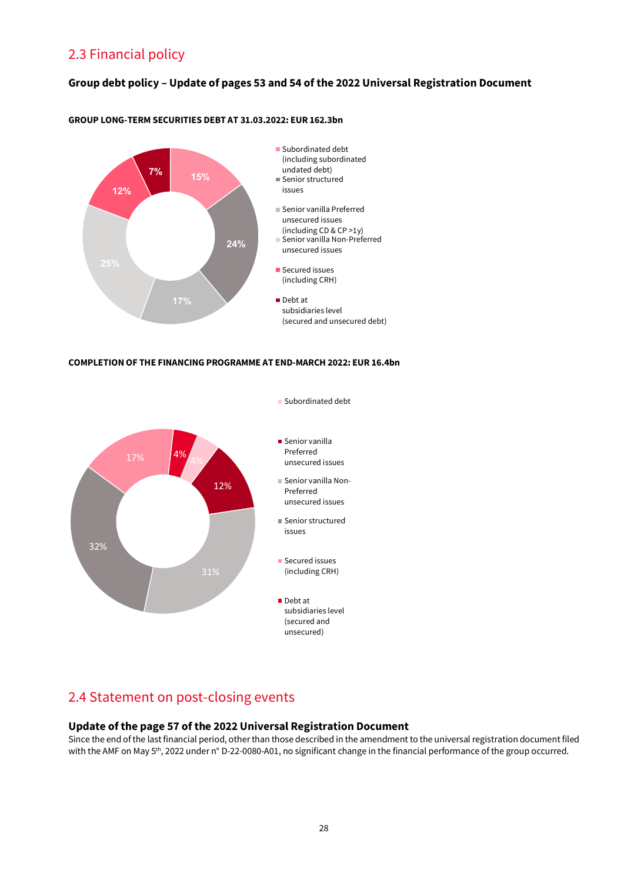# 2.3 Financial policy

### **Group debt policy – Update of pages 53 and 54 of the 2022 Universal Registration Document**



#### **GROUP LONG-TERM SECURITIES DEBT AT 31.03.2022: EUR 162.3bn**

#### **COMPLETION OF THE FINANCING PROGRAMME AT END-MARCH 2022: EUR 16.4bn**



# 2.4 Statement on post-closing events

#### **Update of the page 57 of the 2022 Universal Registration Document**

Since the end of the last financial period, other than those described in the amendment to the universal registration document filed with the AMF on May 5<sup>th</sup>, 2022 under n° D-22-0080-A01, no significant change in the financial performance of the group occurred.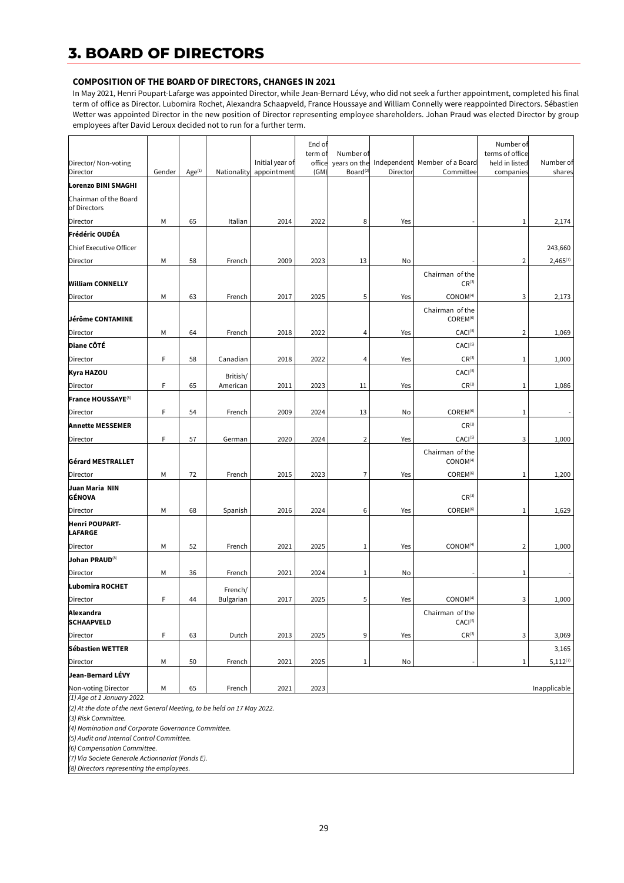# **3. BOARD OF DIRECTORS**

#### **COMPOSITION OF THE BOARD OF DIRECTORS, CHANGES IN 2021**

In May 2021, Henri Poupart-Lafarge was appointed Director, while Jean-Bernard Lévy, who did not seek a further appointment, completed his final term of office as Director. Lubomira Rochet, Alexandra Schaapveld, France Houssaye and William Connelly were reappointed Directors. Sébastien Wetter was appointed Director in the new position of Director representing employee shareholders. Johan Praud was elected Director by group employees after David Leroux decided not to run for a further term.

| Director/ Non-voting                    |        |                    |                  | Initial year of | End of<br>term of<br>office | Number of<br>years on the |          | Independent Member of a Board           | Number of<br>terms of office<br>held in listed | Number of     |
|-----------------------------------------|--------|--------------------|------------------|-----------------|-----------------------------|---------------------------|----------|-----------------------------------------|------------------------------------------------|---------------|
| Director                                | Gender | Age <sup>(1)</sup> | Nationality      | appointment     | (GM)                        | Board <sup>(2</sup>       | Director | Committee                               | companies                                      | shares        |
| Lorenzo BINI SMAGHI                     |        |                    |                  |                 |                             |                           |          |                                         |                                                |               |
| Chairman of the Board<br>of Directors   |        |                    |                  |                 |                             |                           |          |                                         |                                                |               |
| Director                                | М      | 65                 | Italian          | 2014            | 2022                        | 8                         | Yes      |                                         | 1                                              | 2,174         |
| Frédéric OUDÉA                          |        |                    |                  |                 |                             |                           |          |                                         |                                                |               |
| Chief Executive Officer                 |        |                    |                  |                 |                             |                           |          |                                         |                                                | 243,660       |
| Director                                | М      | 58                 | French           | 2009            | 2023                        | 13                        | No       |                                         | 2                                              | $2,465^{(7)}$ |
| <b>William CONNELLY</b>                 |        |                    |                  |                 |                             |                           |          | Chairman of the<br>$CR^{(3)}$           |                                                |               |
| Director                                | М      | 63                 | French           | 2017            | 2025                        | 5                         | Yes      | CONOM <sup>(4)</sup>                    | 3                                              | 2,173         |
| Jérôme CONTAMINE                        |        |                    |                  |                 |                             |                           |          | Chairman of the<br>COREM <sup>(6)</sup> |                                                |               |
| Director                                | М      | 64                 | French           | 2018            | 2022                        | 4                         | Yes      | CACI <sup>(5)</sup>                     | $\overline{2}$                                 | 1,069         |
| <b>Diane CÔTÉ</b>                       |        |                    |                  |                 |                             |                           |          | CACI <sup>(5)</sup>                     |                                                |               |
| Director                                | F      | 58                 | Canadian         | 2018            | 2022                        | 4                         | Yes      | $CR^{(3)}$                              | 1                                              | 1,000         |
| Kyra HAZOU                              |        |                    | British/         |                 |                             |                           |          | CACI <sup>(5)</sup>                     |                                                |               |
| Director                                | F      | 65                 | American         | 2011            | 2023                        | 11                        | Yes      | $CR^{(3)}$                              | 1                                              | 1,086         |
| France HOUSSAYE <sup>(8)</sup>          |        |                    |                  |                 |                             |                           |          |                                         |                                                |               |
| Director                                | F      | 54                 | French           | 2009            | 2024                        | 13                        | No       | COREM <sup>(6)</sup>                    | 1                                              |               |
| <b>Annette MESSEMER</b>                 |        |                    |                  |                 |                             |                           |          | $CR^{(3)}$                              |                                                |               |
| Director                                | F      | 57                 | German           | 2020            | 2024                        | $\overline{2}$            | Yes      | CACI <sup>(5)</sup>                     | 3                                              | 1,000         |
| Gérard MESTRALLET                       |        |                    |                  |                 |                             |                           |          | Chairman of the<br>CONOM <sup>(4)</sup> |                                                |               |
| Director                                | М      | 72                 | French           | 2015            | 2023                        | 7                         | Yes      | COREM <sup>(6)</sup>                    | 1                                              | 1,200         |
| Juan Maria NIN<br>GÉNOVA                |        |                    |                  |                 |                             |                           |          | $CR^{(3)}$                              |                                                |               |
| Director                                | М      | 68                 | Spanish          | 2016            | 2024                        | 6                         | Yes      | COREM <sup>(6)</sup>                    | $\mathbf{1}$                                   | 1,629         |
| <b>Henri POUPART-</b><br><b>LAFARGE</b> |        |                    |                  |                 |                             |                           |          |                                         |                                                |               |
| Director                                | М      | 52                 | French           | 2021            | 2025                        | $\mathbf{1}$              | Yes      | CONOM <sup>(4)</sup>                    | $\overline{2}$                                 | 1,000         |
| Johan PRAUD(8)                          |        |                    |                  |                 |                             |                           |          |                                         |                                                |               |
| <b>Director</b>                         | М      | 36                 | French           | 2021            | 2024                        | $\mathbf{1}$              | No       |                                         | 1                                              |               |
| Lubomira ROCHET                         |        |                    | French/          |                 |                             |                           |          |                                         |                                                |               |
| Director                                | F      | 44                 | <b>Bulgarian</b> | 2017            | 2025                        | 5                         | Yes      | CONOM <sup>(4)</sup>                    | 3                                              | 1,000         |
| Alexandra<br><b>SCHAAPVELD</b>          |        |                    |                  |                 |                             |                           |          | Chairman of the<br>CACI <sup>(5)</sup>  |                                                |               |
| Director                                | F      | 63                 | Dutch            | 2013            | 2025                        | 9                         | Yes      | $CR^{(3)}$                              | 3                                              | 3,069         |
| Sébastien WETTER                        |        |                    |                  |                 |                             |                           |          |                                         |                                                | 3,165         |
| Director                                | М      | 50                 | French           | 2021            | 2025                        | $\mathbf{1}$              | No       |                                         | 1                                              | $5,112^{(7)}$ |
| Jean-Bernard LÉVY                       |        |                    |                  |                 |                             |                           |          |                                         |                                                |               |
| Non-voting Director                     | М      | 65                 | French           | 2021            | 2023                        |                           |          |                                         |                                                | Inapplicable  |

*(1) Age at 1 January 2022.*

*(2) At the date of the next General Meeting, to be held on 17 May 2022.*

*(3) Risk Committee.*

*(4) Nomination and Corporate Governance Committee.*

*(5) Audit and Internal Control Committee.*

*(6) Compensation Committee.*

*(7) Via Societe Generale Actionnariat (Fonds E).*

*(8) Directors representing the employees.*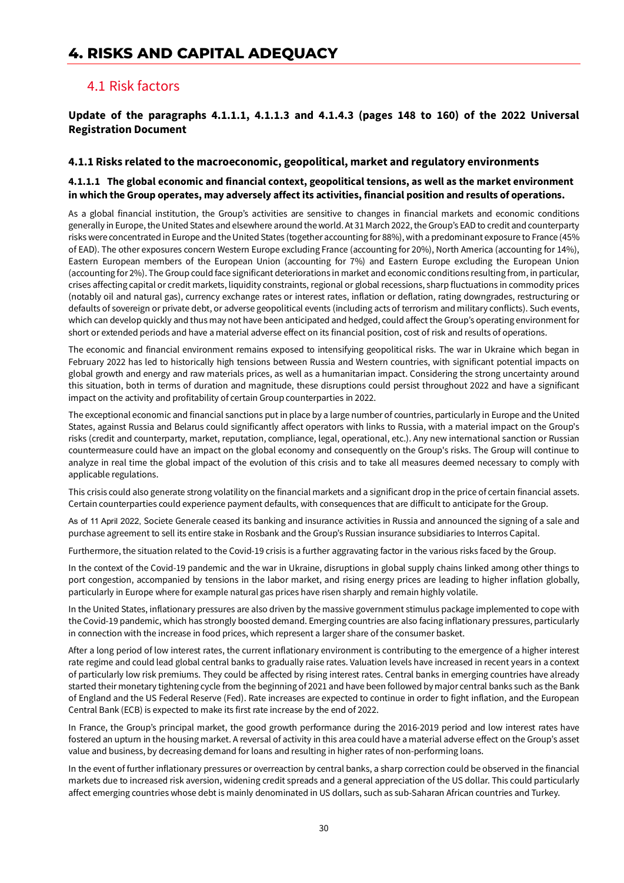# **4. RISKS AND CAPITAL ADEQUACY**

### 4.1 Risk factors

### **Update of the paragraphs 4.1.1.1, 4.1.1.3 and 4.1.4.3 (pages 148 to 160) of the 2022 Universal Registration Document**

#### **4.1.1 Risks related to the macroeconomic, geopolitical, market and regulatory environments**

#### **4.1.1.1****The global economic and financial context, geopolitical tensions, as well as the market environment in which the Group operates, may adversely affect its activities, financial position and results of operations.**

As a global financial institution, the Group's activities are sensitive to changes in financial markets and economic conditions generally in Europe, the United States and elsewhere around the world. At 31 March 2022, the Group's EAD to credit and counterparty risks were concentrated in Europe and the United States (together accounting for 88%), with a predominant exposure to France (45% of EAD). The other exposures concern Western Europe excluding France (accounting for 20%), North America (accounting for 14%), Eastern European members of the European Union (accounting for 7%) and Eastern Europe excluding the European Union (accounting for 2%). The Group could face significant deteriorations in market and economic conditions resulting from, in particular, crises affecting capital or credit markets, liquidity constraints, regional or global recessions, sharp fluctuations in commodity prices (notably oil and natural gas), currency exchange rates or interest rates, inflation or deflation, rating downgrades, restructuring or defaults of sovereign or private debt, or adverse geopolitical events (including acts of terrorism and military conflicts). Such events, which can develop quickly and thus may not have been anticipated and hedged, could affect the Group's operating environment for short or extended periods and have a material adverse effect on its financial position, cost of risk and results of operations.

The economic and financial environment remains exposed to intensifying geopolitical risks. The war in Ukraine which began in February 2022 has led to historically high tensions between Russia and Western countries, with significant potential impacts on global growth and energy and raw materials prices, as well as a humanitarian impact. Considering the strong uncertainty around this situation, both in terms of duration and magnitude, these disruptions could persist throughout 2022 and have a significant impact on the activity and profitability of certain Group counterparties in 2022.

The exceptional economic and financial sanctions put in place by a large number of countries, particularly in Europe and the United States, against Russia and Belarus could significantly affect operators with links to Russia, with a material impact on the Group's risks (credit and counterparty, market, reputation, compliance, legal, operational, etc.). Any new international sanction or Russian countermeasure could have an impact on the global economy and consequently on the Group's risks. The Group will continue to analyze in real time the global impact of the evolution of this crisis and to take all measures deemed necessary to comply with applicable regulations.

This crisis could also generate strong volatility on the financial markets and a significant drop in the price of certain financial assets. Certain counterparties could experience payment defaults, with consequences that are difficult to anticipate for the Group.

As of 11 April 2022, Societe Generale ceased its banking and insurance activities in Russia and announced the signing of a sale and purchase agreement to sell its entire stake in Rosbank and the Group's Russian insurance subsidiaries to Interros Capital.

Furthermore, the situation related to the Covid-19 crisis is a further aggravating factor in the various risks faced by the Group.

In the context of the Covid-19 pandemic and the war in Ukraine, disruptions in global supply chains linked among other things to port congestion, accompanied by tensions in the labor market, and rising energy prices are leading to higher inflation globally, particularly in Europe where for example natural gas prices have risen sharply and remain highly volatile.

In the United States, inflationary pressures are also driven by the massive government stimulus package implemented to cope with the Covid-19 pandemic, which has strongly boosted demand. Emerging countries are also facing inflationary pressures, particularly in connection with the increase in food prices, which represent a larger share of the consumer basket.

After a long period of low interest rates, the current inflationary environment is contributing to the emergence of a higher interest rate regime and could lead global central banks to gradually raise rates. Valuation levels have increased in recent years in a context of particularly low risk premiums. They could be affected by rising interest rates. Central banks in emerging countries have already started their monetary tightening cycle from the beginning of 2021 and have been followed by major central banks such as the Bank of England and the US Federal Reserve (Fed). Rate increases are expected to continue in order to fight inflation, and the European Central Bank (ECB) is expected to make its first rate increase by the end of 2022.

In France, the Group's principal market, the good growth performance during the 2016-2019 period and low interest rates have fostered an upturn in the housing market. A reversal of activity in this area could have a material adverse effect on the Group's asset value and business, by decreasing demand for loans and resulting in higher rates of non-performing loans.

In the event of further inflationary pressures or overreaction by central banks, a sharp correction could be observed in the financial markets due to increased risk aversion, widening credit spreads and a general appreciation of the US dollar. This could particularly affect emerging countries whose debt is mainly denominated in US dollars, such as sub-Saharan African countries and Turkey.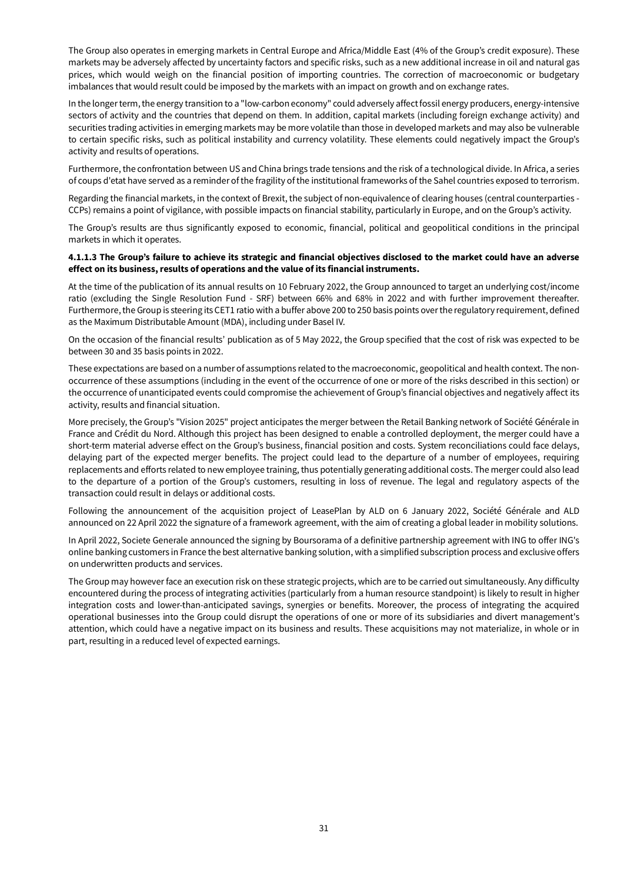The Group also operates in emerging markets in Central Europe and Africa/Middle East (4% of the Group's credit exposure). These markets may be adversely affected by uncertainty factors and specific risks, such as a new additional increase in oil and natural gas prices, which would weigh on the financial position of importing countries. The correction of macroeconomic or budgetary imbalances that would result could be imposed by the markets with an impact on growth and on exchange rates.

In the longer term, the energy transition to a "low-carbon economy" could adversely affect fossil energy producers, energy-intensive sectors of activity and the countries that depend on them. In addition, capital markets (including foreign exchange activity) and securities trading activities in emerging markets may be more volatile than those in developed markets and may also be vulnerable to certain specific risks, such as political instability and currency volatility. These elements could negatively impact the Group's activity and results of operations.

Furthermore, the confrontation between US and China brings trade tensions and the risk of a technological divide. In Africa, a series of coups d'etat have served as a reminder of the fragility of the institutional frameworks of the Sahel countries exposed to terrorism.

Regarding the financial markets, in the context of Brexit, the subject of non-equivalence of clearing houses (central counterparties - CCPs) remains a point of vigilance, with possible impacts on financial stability, particularly in Europe, and on the Group's activity.

The Group's results are thus significantly exposed to economic, financial, political and geopolitical conditions in the principal markets in which it operates.

#### **4.1.1.3 The Group's failure to achieve its strategic and financial objectives disclosed to the market could have an adverse effect on its business, results of operations and the value of its financial instruments.**

At the time of the publication of its annual results on 10 February 2022, the Group announced to target an underlying cost/income ratio (excluding the Single Resolution Fund - SRF) between 66% and 68% in 2022 and with further improvement thereafter. Furthermore, the Group is steering its CET1 ratio with a buffer above 200 to 250 basis points over the regulatory requirement, defined as the Maximum Distributable Amount (MDA), including under Basel IV.

On the occasion of the financial results' publication as of 5 May 2022, the Group specified that the cost of risk was expected to be between 30 and 35 basis points in 2022.

These expectations are based on a number of assumptions related to the macroeconomic, geopolitical and health context. The nonoccurrence of these assumptions (including in the event of the occurrence of one or more of the risks described in this section) or the occurrence of unanticipated events could compromise the achievement of Group's financial objectives and negatively affect its activity, results and financial situation.

More precisely, the Group's "Vision 2025" project anticipates the merger between the Retail Banking network of Société Générale in France and Crédit du Nord. Although this project has been designed to enable a controlled deployment, the merger could have a short-term material adverse effect on the Group's business, financial position and costs. System reconciliations could face delays, delaying part of the expected merger benefits. The project could lead to the departure of a number of employees, requiring replacements and efforts related to new employee training, thus potentially generating additional costs. The merger could also lead to the departure of a portion of the Group's customers, resulting in loss of revenue. The legal and regulatory aspects of the transaction could result in delays or additional costs.

Following the announcement of the acquisition project of LeasePlan by ALD on 6 January 2022, Société Générale and ALD announced on 22 April 2022 the signature of a framework agreement, with the aim of creating a global leader in mobility solutions.

In April 2022, Societe Generale announced the signing by Boursorama of a definitive partnership agreement with ING to offer ING's online banking customers in France the best alternative banking solution, with a simplified subscription process and exclusive offers on underwritten products and services.

The Group may however face an execution risk on these strategic projects, which are to be carried out simultaneously. Any difficulty encountered during the process of integrating activities (particularly from a human resource standpoint) is likely to result in higher integration costs and lower-than-anticipated savings, synergies or benefits. Moreover, the process of integrating the acquired operational businesses into the Group could disrupt the operations of one or more of its subsidiaries and divert management's attention, which could have a negative impact on its business and results. These acquisitions may not materialize, in whole or in part, resulting in a reduced level of expected earnings.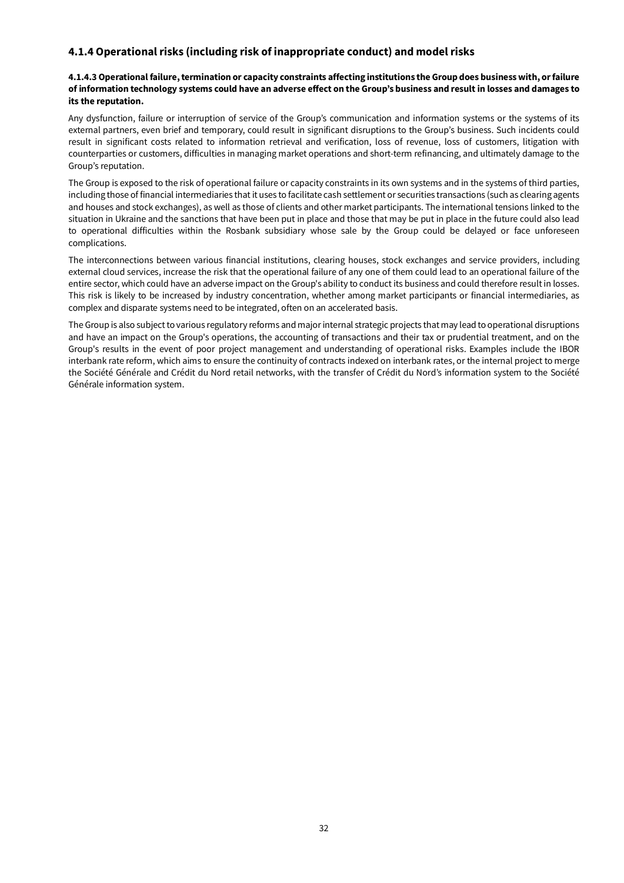### **4.1.4 Operational risks (including risk of inappropriate conduct) and model risks**

#### **4.1.4.3 Operational failure, termination or capacity constraints affecting institutions the Group does business with, or failure of information technology systems could have an adverse effect on the Group's business and result in losses and damages to its the reputation.**

Any dysfunction, failure or interruption of service of the Group's communication and information systems or the systems of its external partners, even brief and temporary, could result in significant disruptions to the Group's business. Such incidents could result in significant costs related to information retrieval and verification, loss of revenue, loss of customers, litigation with counterparties or customers, difficulties in managing market operations and short-term refinancing, and ultimately damage to the Group's reputation.

The Group is exposed to the risk of operational failure or capacity constraints in its own systems and in the systems of third parties, including those of financial intermediaries that it uses to facilitate cash settlement or securities transactions (such as clearing agents and houses and stock exchanges), as well as those of clients and other market participants. The international tensions linked to the situation in Ukraine and the sanctions that have been put in place and those that may be put in place in the future could also lead to operational difficulties within the Rosbank subsidiary whose sale by the Group could be delayed or face unforeseen complications.

The interconnections between various financial institutions, clearing houses, stock exchanges and service providers, including external cloud services, increase the risk that the operational failure of any one of them could lead to an operational failure of the entire sector, which could have an adverse impact on the Group's ability to conduct its business and could therefore result in losses. This risk is likely to be increased by industry concentration, whether among market participants or financial intermediaries, as complex and disparate systems need to be integrated, often on an accelerated basis.

The Group is also subject to various regulatory reforms and major internal strategic projects that may lead to operational disruptions and have an impact on the Group's operations, the accounting of transactions and their tax or prudential treatment, and on the Group's results in the event of poor project management and understanding of operational risks. Examples include the IBOR interbank rate reform, which aims to ensure the continuity of contracts indexed on interbank rates, or the internal project to merge the Société Générale and Crédit du Nord retail networks, with the transfer of Crédit du Nord's information system to the Société Générale information system.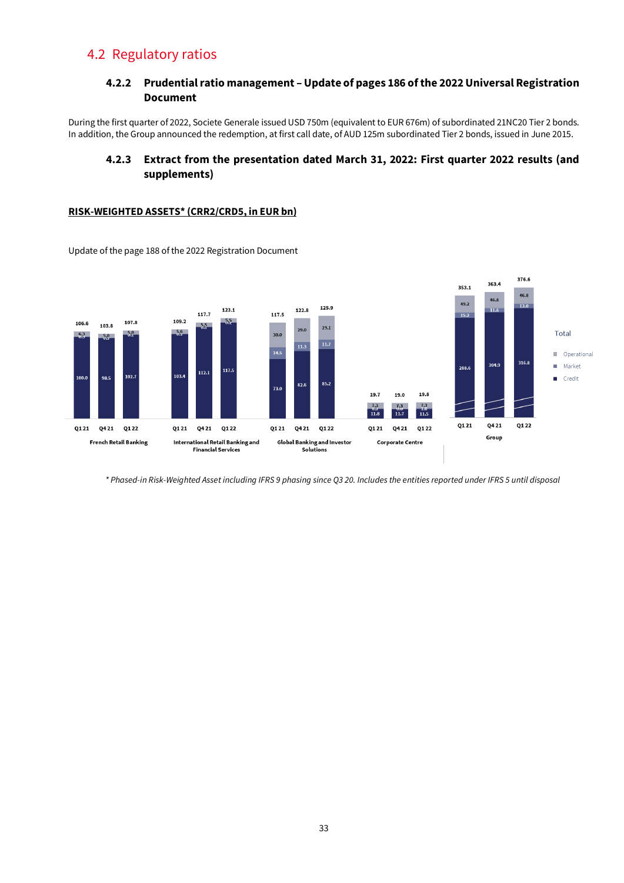# 4.2 Regulatory ratios

### **4.2.2 Prudential ratio management – Update of pages 186 of the 2022 Universal Registration Document**

During the first quarter of 2022, Societe Generale issued USD 750m (equivalent to EUR 676m) of subordinated 21NC20 Tier 2 bonds. In addition, the Group announced the redemption, at first call date, of AUD 125m subordinated Tier 2 bonds, issued in June 2015.

### **4.2.3 Extract from the presentation dated March 31, 2022: First quarter 2022 results (and supplements)**

#### **RISK-WEIGHTED ASSETS\* (CRR2/CRD5, in EUR bn)**



Update of the page 188 of the 2022 Registration Document

*\* Phased-in Risk-Weighted Asset including IFRS 9 phasing since Q3 20. Includes the entities reported under IFRS 5 until disposal*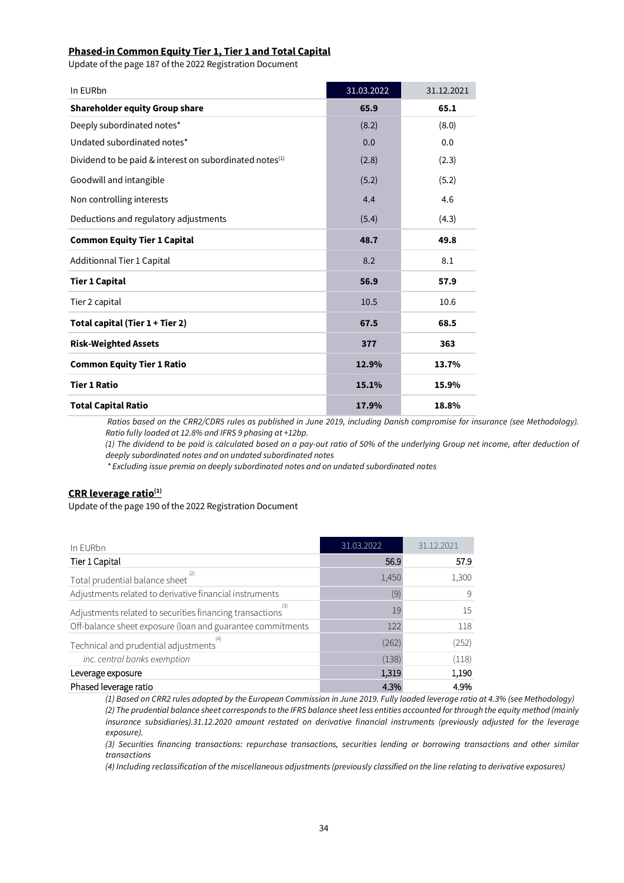#### **Phased-in Common Equity Tier 1, Tier 1 and Total Capital**

Update of the page 187 of the 2022 Registration Document

| In EURbn                                                   | 31.03.2022 | 31.12.2021 |
|------------------------------------------------------------|------------|------------|
| <b>Shareholder equity Group share</b>                      | 65.9       | 65.1       |
| Deeply subordinated notes*                                 | (8.2)      | (8.0)      |
| Undated subordinated notes*                                | 0.0        | 0.0        |
| Dividend to be paid & interest on subordinated notes $(1)$ | (2.8)      | (2.3)      |
| Goodwill and intangible                                    | (5.2)      | (5.2)      |
| Non controlling interests                                  | 4.4        | 4.6        |
| Deductions and regulatory adjustments                      | (5.4)      | (4.3)      |
| <b>Common Equity Tier 1 Capital</b>                        | 48.7       | 49.8       |
| Additionnal Tier 1 Capital                                 | 8.2        | 8.1        |
| <b>Tier 1 Capital</b>                                      | 56.9       | 57.9       |
| Tier 2 capital                                             | 10.5       | 10.6       |
| Total capital (Tier 1 + Tier 2)                            | 67.5       | 68.5       |
| <b>Risk-Weighted Assets</b>                                | 377        | 363        |
| <b>Common Equity Tier 1 Ratio</b>                          | 12.9%      | 13.7%      |
| <b>Tier 1 Ratio</b>                                        | 15.1%      | 15.9%      |
| <b>Total Capital Ratio</b>                                 | 17.9%      | 18.8%      |

*Ratios based on the CRR2/CDR5 rules as published in June 2019, including Danish compromise for insurance (see Methodology). Ratio fully loaded at 12.8% and IFRS 9 phasing at +12bp.*

*(1) The dividend to be paid is calculated based on a pay-out ratio of 50% of the underlying Group net income, after deduction of deeply subordinated notes and on undated subordinated notes* 

*\* Excluding issue premia on deeply subordinated notes and on undated subordinated notes*

#### **CRR leverage ratio(1)**

Update of the page 190 of the 2022 Registration Document

| In EURbn                                                   | 31.03.2022 | 31.12.2021 |
|------------------------------------------------------------|------------|------------|
| Tier 1 Capital                                             | 56.9       | 57.9       |
| Total prudential balance sheet                             | 1,450      | 1,300      |
| Adjustments related to derivative financial instruments    | (9)        | 9          |
| Adjustments related to securities financing transactions   | 19         | 15         |
| Off-balance sheet exposure (loan and guarantee commitments | 122        | 118        |
| Technical and prudential adjustments                       | (262)      | (252)      |
| inc. central banks exemption                               | (138)      | (118)      |
| Leverage exposure                                          | 1,319      | 1,190      |
| Phased leverage ratio                                      | 4.3%       | 4.9%       |

*(1) Based on CRR2 rules adopted by the European Commission in June 2019. Fully loaded leverage ratio at 4.3% (see Methodology) (2) The prudential balance sheet corresponds to the IFRS balance sheet less entities accounted for through the equity method (mainly insurance subsidiaries).31.12.2020 amount restated on derivative financial instruments (previously adjusted for the leverage exposure).*

*(3) Securities financing transactions: repurchase transactions, securities lending or borrowing transactions and other similar transactions*

*(4) Including reclassification of the miscellaneous adjustments (previously classified on the line relating to derivative exposures)*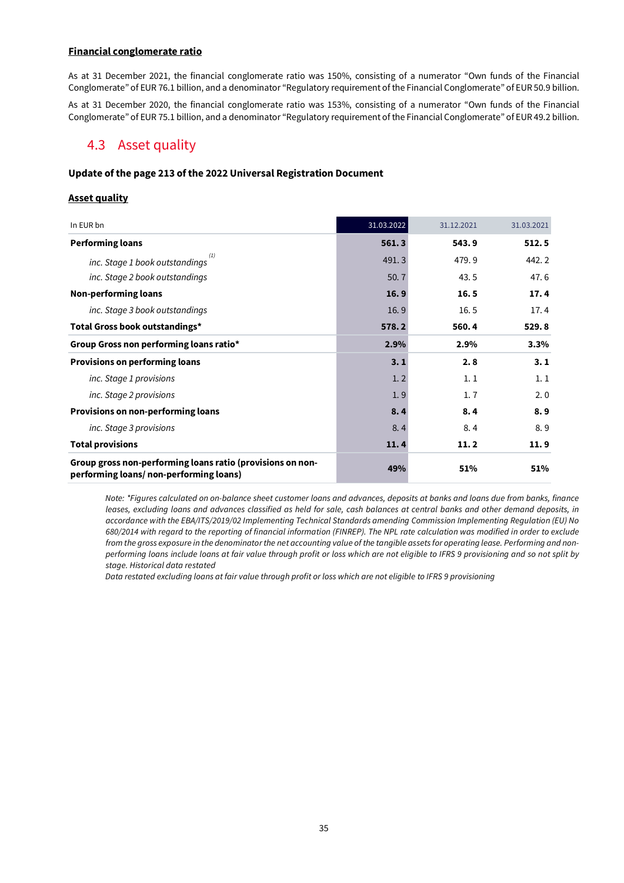#### **Financial conglomerate ratio**

As at 31 December 2021, the financial conglomerate ratio was 150%, consisting of a numerator "Own funds of the Financial Conglomerate" of EUR 76.1 billion, and a denominator "Regulatory requirement of the Financial Conglomerate" of EUR 50.9 billion.

As at 31 December 2020, the financial conglomerate ratio was 153%, consisting of a numerator "Own funds of the Financial Conglomerate" of EUR 75.1 billion, and a denominator "Regulatory requirement of the Financial Conglomerate" of EUR 49.2 billion.

### 4.3 Asset quality

#### **Update of the page 213 of the 2022 Universal Registration Document**

#### **Asset quality**

| In EUR bn                                                                                            | 31.03.2022 | 31.12.2021 | 31.03.2021 |
|------------------------------------------------------------------------------------------------------|------------|------------|------------|
| <b>Performing loans</b>                                                                              | 561.3      | 543.9      | 512.5      |
| inc. Stage 1 book outstandings                                                                       | 491.3      | 479.9      | 442.2      |
| inc. Stage 2 book outstandings                                                                       | 50.7       | 43.5       | 47.6       |
| <b>Non-performing loans</b>                                                                          | 16.9       | 16.5       | 17.4       |
| inc. Stage 3 book outstandings                                                                       | 16.9       | 16.5       | 17.4       |
| Total Gross book outstandings*                                                                       | 578.2      | 560.4      | 529.8      |
| Group Gross non performing loans ratio*                                                              | 2.9%       | 2.9%       | 3.3%       |
| <b>Provisions on performing loans</b>                                                                | 3.1        | 2.8        | 3.1        |
| inc. Stage 1 provisions                                                                              | 1.2        | 1.1        | 1.1        |
| inc. Stage 2 provisions                                                                              | 1.9        | 1, 7       | 2.0        |
| <b>Provisions on non-performing loans</b>                                                            | 8.4        | 8.4        | 8.9        |
| inc. Stage 3 provisions                                                                              | 8.4        | 8.4        | 8.9        |
| <b>Total provisions</b>                                                                              | 11.4       | 11.2       | 11.9       |
| Group gross non-performing loans ratio (provisions on non-<br>performing loans/non-performing loans) | 49%        | 51%        | 51%        |

*Note: \*Figures calculated on on-balance sheet customer loans and advances, deposits at banks and loans due from banks, finance leases, excluding loans and advances classified as held for sale, cash balances at central banks and other demand deposits, in accordance with the EBA/ITS/2019/02 Implementing Technical Standards amending Commission Implementing Regulation (EU) No 680/2014 with regard to the reporting of financial information (FINREP). The NPL rate calculation was modified in order to exclude from the gross exposure in the denominator the net accounting value of the tangible assets for operating lease. Performing and nonperforming loans include loans at fair value through profit or loss which are not eligible to IFRS 9 provisioning and so not split by stage. Historical data restated*

*Data restated excluding loans at fair value through profit or loss which are not eligible to IFRS 9 provisioning*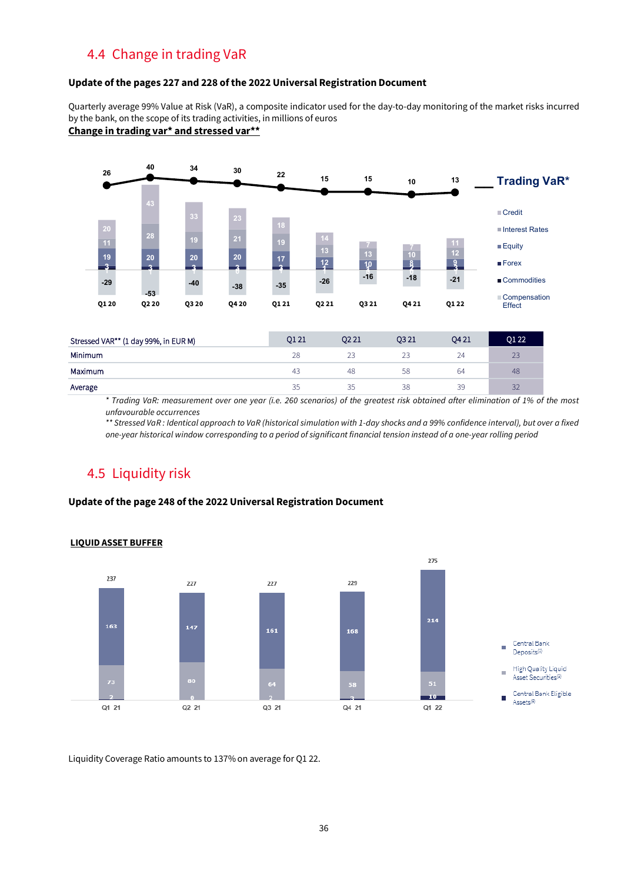# 4.4 Change in trading VaR

#### **Update of the pages 227 and 228 of the 2022 Universal Registration Document**

Quarterly average 99% Value at Risk (VaR), a composite indicator used for the day-to-day monitoring of the market risks incurred by the bank, on the scope of its trading activities, in millions of euros

### **Change in trading var\* and stressed var\*\***



*\* Trading VaR: measurement over one year (i.e. 260 scenarios) of the greatest risk obtained after elimination of 1% of the most unfavourable occurrences*

*\*\* Stressed VaR : Identical approach to VaR (historical simulation with 1-day shocks and a 99% confidence interval), but over a fixed one-year historical window corresponding to a period of significant financial tension instead of a one-year rolling period*

# 4.5 Liquidity risk

#### **Update of the page 248 of the 2022 Universal Registration Document**



#### **LIQUID ASSET BUFFER**

Liquidity Coverage Ratio amounts to 137% on average for Q1 22.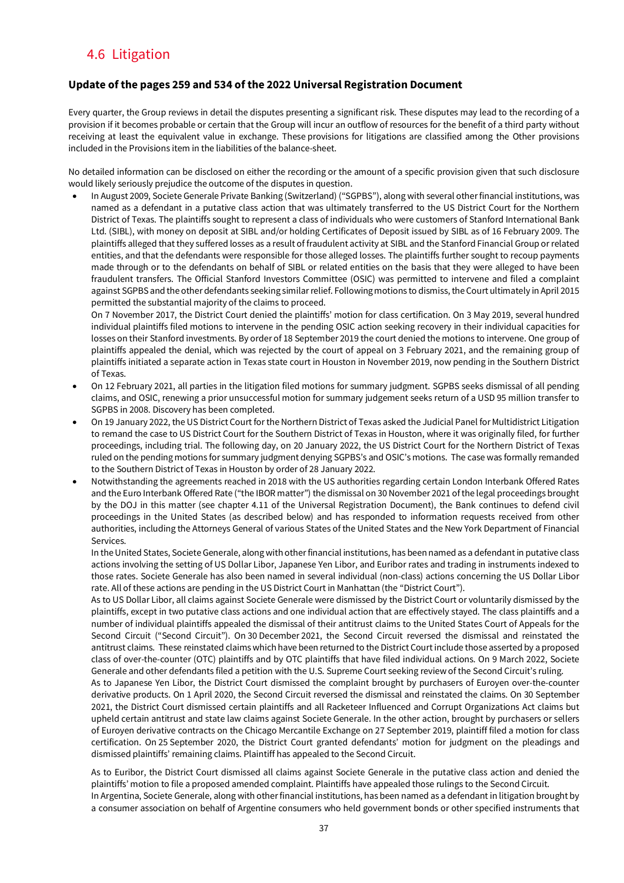# 4.6 Litigation

#### **Update ofthe pages 259 and 534 of the 2022 Universal Registration Document**

Every quarter, the Group reviews in detail the disputes presenting a significant risk. These disputes may lead to the recording of a provision if it becomes probable or certain that the Group will incur an outflow of resources for the benefit of a third party without receiving at least the equivalent value in exchange. These provisions for litigations are classified among the Other provisions included in the Provisions item in the liabilities of the balance-sheet.

No detailed information can be disclosed on either the recording or the amount of a specific provision given that such disclosure would likely seriously prejudice the outcome of the disputes in question.

• In August 2009, Societe Generale Private Banking (Switzerland) ("SGPBS"), along with several other financial institutions, was named as a defendant in a putative class action that was ultimately transferred to the US District Court for the Northern District of Texas. The plaintiffs sought to represent a class of individuals who were customers of Stanford International Bank Ltd. (SIBL), with money on deposit at SIBL and/or holding Certificates of Deposit issued by SIBL as of 16 February 2009. The plaintiffs alleged that they suffered losses as a result of fraudulent activity at SIBL and the Stanford Financial Group or related entities, and that the defendants were responsible for those alleged losses. The plaintiffs further sought to recoup payments made through or to the defendants on behalf of SIBL or related entities on the basis that they were alleged to have been fraudulent transfers. The Official Stanford Investors Committee (OSIC) was permitted to intervene and filed a complaint against SGPBS and the other defendants seeking similar relief. Following motions to dismiss, the Court ultimately in April 2015 permitted the substantial majority of the claims to proceed.

On 7 November 2017, the District Court denied the plaintiffs' motion for class certification. On 3 May 2019, several hundred individual plaintiffs filed motions to intervene in the pending OSIC action seeking recovery in their individual capacities for losses on their Stanford investments. By order of 18 September 2019 the court denied the motions to intervene. One group of plaintiffs appealed the denial, which was rejected by the court of appeal on 3 February 2021, and the remaining group of plaintiffs initiated a separate action in Texas state court in Houston in November 2019, now pending in the Southern District of Texas.

- On 12 February 2021, all parties in the litigation filed motions for summary judgment. SGPBS seeks dismissal of all pending claims, and OSIC, renewing a prior unsuccessful motion for summary judgement seeks return of a USD 95 million transfer to SGPBS in 2008. Discovery has been completed.
- On 19 January 2022, the US District Court for the Northern District of Texas asked the Judicial Panel for Multidistrict Litigation to remand the case to US District Court for the Southern District of Texas in Houston, where it was originally filed, for further proceedings, including trial. The following day, on 20 January 2022, the US District Court for the Northern District of Texas ruled on the pending motions for summary judgment denying SGPBS's and OSIC's motions. The case was formally remanded to the Southern District of Texas in Houston by order of 28 January 2022.
- Notwithstanding the agreements reached in 2018 with the US authorities regarding certain London Interbank Offered Rates and the Euro Interbank Offered Rate ("the IBOR matter") the dismissal on 30 November 2021 of the legal proceedings brought by the DOJ in this matter (see chapter 4.11 of the Universal Registration Document), the Bank continues to defend civil proceedings in the United States (as described below) and has responded to information requests received from other authorities, including the Attorneys General of various States of the United States and the New York Department of Financial Services.

In the United States, Societe Generale, along with other financial institutions, has been named as a defendant in putative class actions involving the setting of US Dollar Libor, Japanese Yen Libor, and Euribor rates and trading in instruments indexed to those rates. Societe Generale has also been named in several individual (non-class) actions concerning the US Dollar Libor rate. All of these actions are pending in the US District Court in Manhattan (the "District Court").

As to US Dollar Libor, all claims against Societe Generale were dismissed by the District Court or voluntarily dismissed by the plaintiffs, except in two putative class actions and one individual action that are effectively stayed. The class plaintiffs and a number of individual plaintiffs appealed the dismissal of their antitrust claims to the United States Court of Appeals for the Second Circuit ("Second Circuit"). On 30 December 2021, the Second Circuit reversed the dismissal and reinstated the antitrust claims. These reinstated claims which have been returned to the District Courtinclude those asserted by a proposed class of over-the-counter (OTC) plaintiffs and by OTC plaintiffs that have filed individual actions. On 9 March 2022, Societe Generale and other defendants filed a petition with the U.S. Supreme Court seeking review of the Second Circuit's ruling.

As to Japanese Yen Libor, the District Court dismissed the complaint brought by purchasers of Euroyen over-the-counter derivative products. On 1 April 2020, the Second Circuit reversed the dismissal and reinstated the claims. On 30 September 2021, the District Court dismissed certain plaintiffs and all Racketeer Influenced and Corrupt Organizations Act claims but upheld certain antitrust and state law claims against Societe Generale. In the other action, brought by purchasers or sellers of Euroyen derivative contracts on the Chicago Mercantile Exchange on 27 September 2019, plaintiff filed a motion for class certification. On 25 September 2020, the District Court granted defendants' motion for judgment on the pleadings and dismissed plaintiffs' remaining claims. Plaintiff has appealed to the Second Circuit.

As to Euribor, the District Court dismissed all claims against Societe Generale in the putative class action and denied the plaintiffs' motion to file a proposed amended complaint. Plaintiffs have appealed those rulings to the Second Circuit. In Argentina, Societe Generale, along with other financial institutions, has been named as a defendant in litigation brought by

a consumer association on behalf of Argentine consumers who held government bonds or other specified instruments that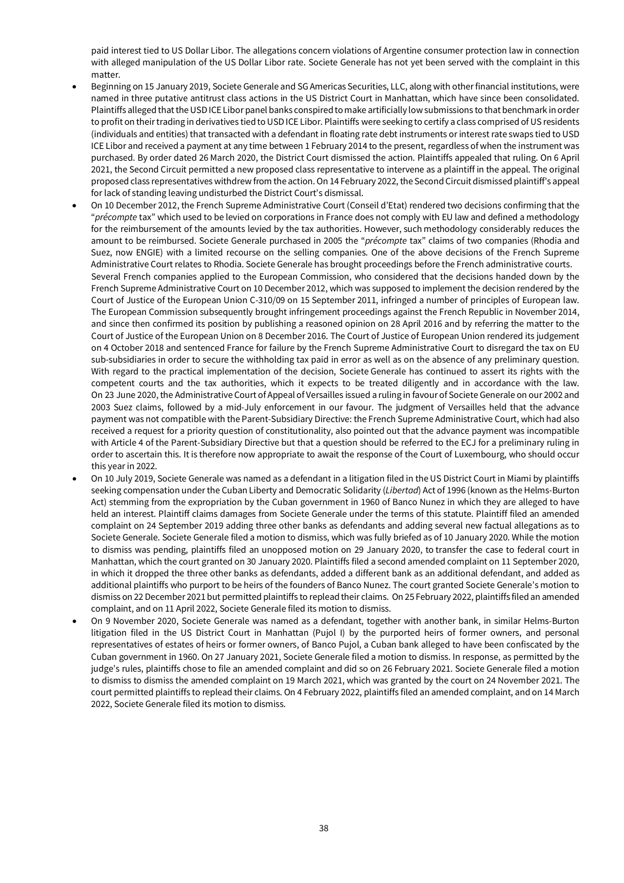paid interest tied to US Dollar Libor. The allegations concern violations of Argentine consumer protection law in connection with alleged manipulation of the US Dollar Libor rate. Societe Generale has not yet been served with the complaint in this matter.

- Beginning on 15 January 2019, Societe Generale and SG Americas Securities, LLC, along with other financial institutions, were named in three putative antitrust class actions in the US District Court in Manhattan, which have since been consolidated. Plaintiffs alleged that the USD ICE Libor panel banks conspired to make artificially low submissions to that benchmark in order to profit on their trading in derivatives tied to USD ICE Libor. Plaintiffs were seeking to certify a class comprised of US residents (individuals and entities) that transacted with a defendant in floating rate debt instruments or interest rate swaps tied to USD ICE Libor and received a payment at any time between 1 February 2014 to the present, regardless of when the instrument was purchased. By order dated 26 March 2020, the District Court dismissed the action. Plaintiffs appealed that ruling. On 6 April 2021, the Second Circuit permitted a new proposed class representative to intervene as a plaintiff in the appeal. The original proposed class representatives withdrew from the action. On 14 February 2022, the Second Circuit dismissed plaintiff's appeal for lack of standing leaving undisturbed the District Court's dismissal.
- On 10 December 2012, the French Supreme Administrative Court (Conseil d'Etat) rendered two decisions confirming that the "*précompte* tax" which used to be levied on corporations in France does not comply with EU law and defined a methodology for the reimbursement of the amounts levied by the tax authorities. However, such methodology considerably reduces the amount to be reimbursed. Societe Generale purchased in 2005 the "*précompte* tax" claims of two companies (Rhodia and Suez, now ENGIE) with a limited recourse on the selling companies. One of the above decisions of the French Supreme Administrative Court relates to Rhodia. Societe Generale has brought proceedings before the French administrative courts. Several French companies applied to the European Commission, who considered that the decisions handed down by the French Supreme Administrative Court on 10 December 2012, which was supposed to implement the decision rendered by the Court of Justice of the European Union C-310/09 on 15 September 2011, infringed a number of principles of European law. The European Commission subsequently brought infringement proceedings against the French Republic in November 2014, and since then confirmed its position by publishing a reasoned opinion on 28 April 2016 and by referring the matter to the Court of Justice of the European Union on 8 December 2016. The Court of Justice of European Union rendered its judgement on 4 October 2018 and sentenced France for failure by the French Supreme Administrative Court to disregard the tax on EU sub-subsidiaries in order to secure the withholding tax paid in error as well as on the absence of any preliminary question. With regard to the practical implementation of the decision, Societe Generale has continued to assert its rights with the competent courts and the tax authorities, which it expects to be treated diligently and in accordance with the law. On 23 June 2020, the Administrative Court of Appeal of Versailles issued a ruling in favour of Societe Generale on our 2002 and 2003 Suez claims, followed by a mid-July enforcement in our favour. The judgment of Versailles held that the advance payment was not compatible with the Parent-Subsidiary Directive: the French Supreme Administrative Court, which had also received a request for a priority question of constitutionality, also pointed out that the advance payment was incompatible with Article 4 of the Parent-Subsidiary Directive but that a question should be referred to the ECJ for a preliminary ruling in order to ascertain this. It is therefore now appropriate to await the response of the Court of Luxembourg, who should occur this year in 2022.
- On 10 July 2019, Societe Generale was named as a defendant in a litigation filed in the US District Court in Miami by plaintiffs seeking compensation under the Cuban Liberty and Democratic Solidarity (*Libertad*) Act of 1996 (known as the Helms-Burton Act) stemming from the expropriation by the Cuban government in 1960 of Banco Nunez in which they are alleged to have held an interest. Plaintiff claims damages from Societe Generale under the terms of this statute. Plaintiff filed an amended complaint on 24 September 2019 adding three other banks as defendants and adding several new factual allegations as to Societe Generale. Societe Generale filed a motion to dismiss, which was fully briefed as of 10 January 2020. While the motion to dismiss was pending, plaintiffs filed an unopposed motion on 29 January 2020, to transfer the case to federal court in Manhattan, which the court granted on 30 January 2020. Plaintiffs filed a second amended complaint on 11 September 2020, in which it dropped the three other banks as defendants, added a different bank as an additional defendant, and added as additional plaintiffs who purport to be heirs of the founders of Banco Nunez. The court granted Societe Generale's motion to dismiss on 22 December 2021 but permitted plaintiffs to replead their claims. On 25 February 2022, plaintiffs filed an amended complaint, and on 11 April 2022, Societe Generale filed its motion to dismiss.
- On 9 November 2020, Societe Generale was named as a defendant, together with another bank, in similar Helms-Burton litigation filed in the US District Court in Manhattan (Pujol I) by the purported heirs of former owners, and personal representatives of estates of heirs or former owners, of Banco Pujol, a Cuban bank alleged to have been confiscated by the Cuban government in 1960. On 27 January 2021, Societe Generale filed a motion to dismiss. In response, as permitted by the judge's rules, plaintiffs chose to file an amended complaint and did so on 26 February 2021. Societe Generale filed a motion to dismiss to dismiss the amended complaint on 19 March 2021, which was granted by the court on 24 November 2021. The court permitted plaintiffs to replead their claims. On 4 February 2022, plaintiffs filed an amended complaint, and on 14 March 2022, Societe Generale filed its motion to dismiss.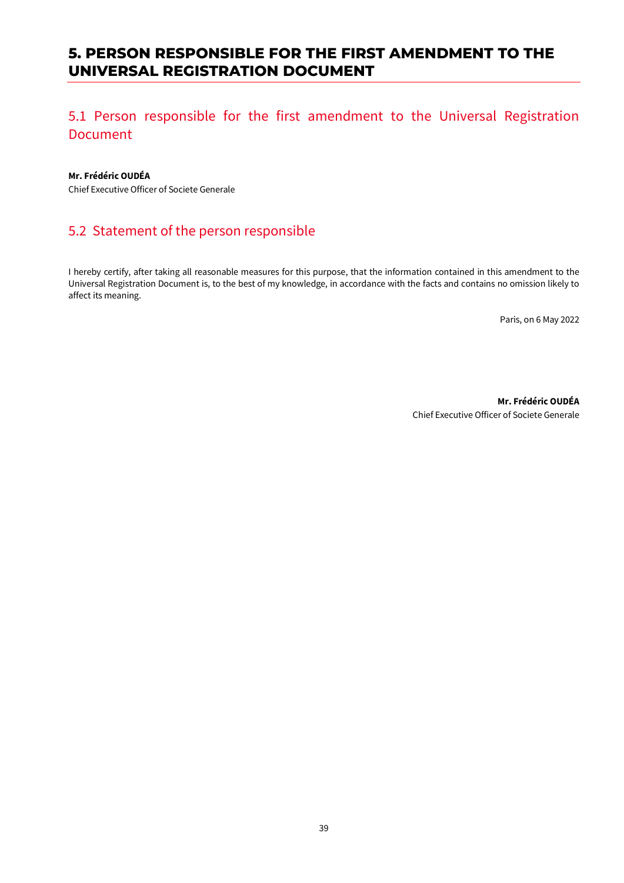# **5. PERSON RESPONSIBLE FOR THE FIRST AMENDMENT TO THE UNIVERSAL REGISTRATION DOCUMENT**

# 5.1 Person responsible for the first amendment to the Universal Registration Document

#### **Mr. Frédéric OUDÉA**

Chief Executive Officer of Societe Generale

# 5.2 Statement of the person responsible

I hereby certify, after taking all reasonable measures for this purpose, that the information contained in this amendment to the Universal Registration Document is, to the best of my knowledge, in accordance with the facts and contains no omission likely to affect its meaning.

Paris, on 6 May 2022

**Mr. Frédéric OUDÉA** Chief Executive Officer of Societe Generale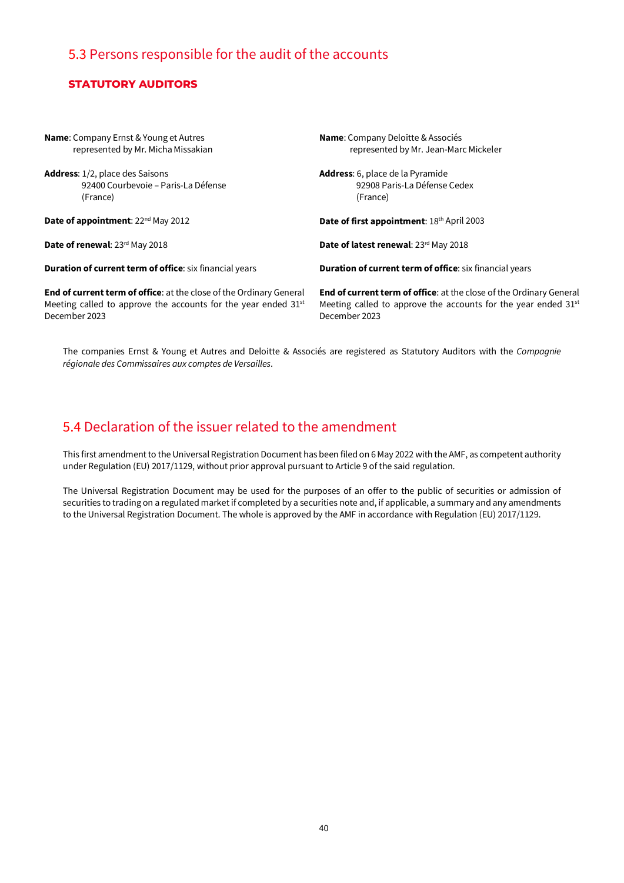# 5.3 Persons responsible for the audit of the accounts

### **STATUTORY AUDITORS**

| <b>Name:</b> Company Ernst & Young et Autres                               | <b>Name:</b> Company Deloitte & Associés                                   |
|----------------------------------------------------------------------------|----------------------------------------------------------------------------|
| represented by Mr. Micha Missakian                                         | represented by Mr. Jean-Marc Mickeler                                      |
| <b>Address:</b> 1/2, place des Saisons                                     | <b>Address:</b> 6, place de la Pyramide                                    |
| 92400 Courbevoie – Paris-La Défense                                        | 92908 Paris-La Défense Cedex                                               |
| (France)                                                                   | (France)                                                                   |
| <b>Date of appointment:</b> 22 <sup>nd</sup> May 2012                      | Date of first appointment: 18th April 2003                                 |
| Date of renewal: 23rd May 2018                                             | Date of latest renewal: 23rd May 2018                                      |
| <b>Duration of current term of office:</b> six financial years             | <b>Duration of current term of office:</b> six financial years             |
| <b>End of current term of office:</b> at the close of the Ordinary General | <b>End of current term of office:</b> at the close of the Ordinary General |
| Meeting called to approve the accounts for the year ended 31st             | Meeting called to approve the accounts for the year ended 31 <sup>st</sup> |
| December 2023                                                              | December 2023                                                              |

The companies Ernst & Young et Autres and Deloitte & Associés are registered as Statutory Auditors with the *Compagnie régionale des Commissaires aux comptes de Versailles*.

# 5.4 Declaration of the issuer related to the amendment

This first amendment to the Universal Registration Document has been filed on 6May 2022 with the AMF, as competent authority under Regulation (EU) 2017/1129, without prior approval pursuant to Article 9 of the said regulation.

The Universal Registration Document may be used for the purposes of an offer to the public of securities or admission of securities to trading on a regulated market if completed by a securities note and, if applicable, a summary and any amendments to the Universal Registration Document. The whole is approved by the AMF in accordance with Regulation (EU) 2017/1129.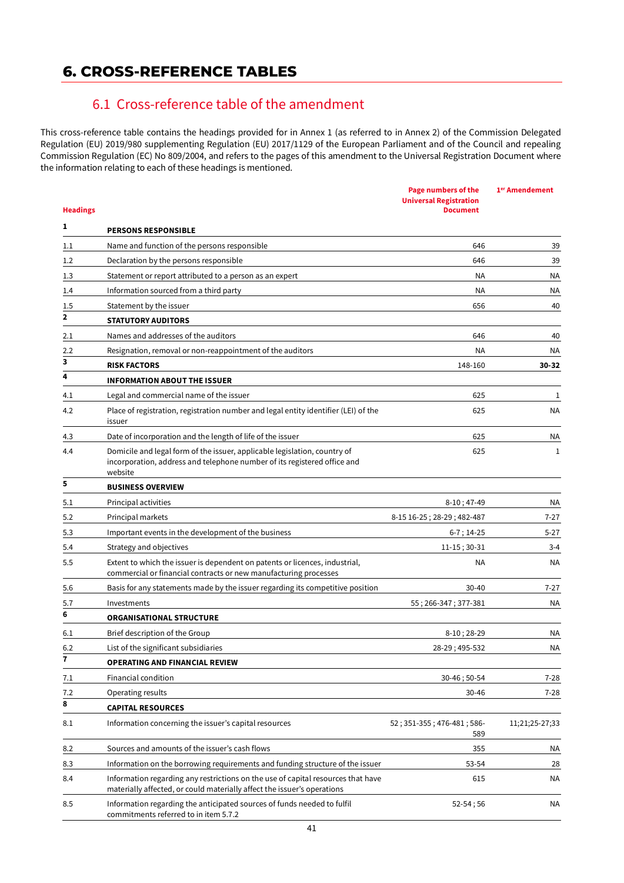# **6. CROSS-REFERENCE TABLES**

# 6.1 Cross-reference table of the amendment

This cross-reference table contains the headings provided for in Annex 1 (as referred to in Annex 2) of the Commission Delegated Regulation (EU) 2019/980 supplementing Regulation (EU) 2017/1129 of the European Parliament and of the Council and repealing Commission Regulation (EC) No 809/2004, and refers to the pages of this amendment to the Universal Registration Document where the information relating to each of these headings is mentioned.

| <b>Headings</b> |                                                                                                                                                                  | <b>Page numbers of the</b><br><b>Universal Registration</b><br><b>Document</b> | 1 <sup>er</sup> Amendement |
|-----------------|------------------------------------------------------------------------------------------------------------------------------------------------------------------|--------------------------------------------------------------------------------|----------------------------|
| 1               | <b>PERSONS RESPONSIBLE</b>                                                                                                                                       |                                                                                |                            |
| 1.1             | Name and function of the persons responsible                                                                                                                     | 646                                                                            | 39                         |
| 1.2             | Declaration by the persons responsible                                                                                                                           | 646                                                                            | 39                         |
| 1.3             | Statement or report attributed to a person as an expert                                                                                                          | ΝA                                                                             | ΝA                         |
| 1.4             | Information sourced from a third party                                                                                                                           | <b>NA</b>                                                                      | ΝA                         |
| 1.5             | Statement by the issuer                                                                                                                                          | 656                                                                            | 40                         |
| $\mathbf{2}$    | <b>STATUTORY AUDITORS</b>                                                                                                                                        |                                                                                |                            |
| 2.1             | Names and addresses of the auditors                                                                                                                              | 646                                                                            | 40                         |
| 2.2             | Resignation, removal or non-reappointment of the auditors                                                                                                        | <b>NA</b>                                                                      | ΝA                         |
| 3               | <b>RISK FACTORS</b>                                                                                                                                              | 148-160                                                                        | 30-32                      |
| 4               | <b>INFORMATION ABOUT THE ISSUER</b>                                                                                                                              |                                                                                |                            |
| 4.1             | Legal and commercial name of the issuer                                                                                                                          | 625                                                                            | 1                          |
| 4.2             | Place of registration, registration number and legal entity identifier (LEI) of the<br>issuer                                                                    | 625                                                                            | NА                         |
| 4.3             | Date of incorporation and the length of life of the issuer                                                                                                       | 625                                                                            | ΝA                         |
| 4.4             | Domicile and legal form of the issuer, applicable legislation, country of<br>incorporation, address and telephone number of its registered office and<br>website | 625                                                                            | 1                          |
| 5               | <b>BUSINESS OVERVIEW</b>                                                                                                                                         |                                                                                |                            |
| 5.1             | Principal activities                                                                                                                                             | $8-10; 47-49$                                                                  | ΝA                         |
| 5.2             | Principal markets                                                                                                                                                | 8-15 16-25; 28-29; 482-487                                                     | $7-27$                     |
| 5.3             | Important events in the development of the business                                                                                                              | $6-7$ ; 14-25                                                                  | $5 - 27$                   |
| 5.4             | Strategy and objectives                                                                                                                                          | $11-15; 30-31$                                                                 | $3 - 4$                    |
| 5.5             | Extent to which the issuer is dependent on patents or licences, industrial,<br>commercial or financial contracts or new manufacturing processes                  | NA.                                                                            | NА                         |
| 5.6             | Basis for any statements made by the issuer regarding its competitive position                                                                                   | $30 - 40$                                                                      | $7 - 27$                   |
| 5.7             | Investments                                                                                                                                                      | 55; 266-347; 377-381                                                           | NА                         |
| 6               | <b>ORGANISATIONAL STRUCTURE</b>                                                                                                                                  |                                                                                |                            |
| 6.1             | Brief description of the Group                                                                                                                                   | $8-10:28-29$                                                                   | ΝA                         |
| 6.2             | List of the significant subsidiaries                                                                                                                             | 28-29; 495-532                                                                 | ΝA                         |
| 7               | <b>OPERATING AND FINANCIAL REVIEW</b>                                                                                                                            |                                                                                |                            |
| 7.1             | Financial condition                                                                                                                                              | 30-46; 50-54                                                                   | $7 - 28$                   |
| 7.2             | Operating results                                                                                                                                                | 30-46                                                                          | $7 - 28$                   |
| 8               | <b>CAPITAL RESOURCES</b>                                                                                                                                         |                                                                                |                            |
| 8.1             | Information concerning the issuer's capital resources                                                                                                            | 52; 351-355; 476-481; 586-<br>589                                              | 11;21;25-27;33             |
| 8.2             | Sources and amounts of the issuer's cash flows                                                                                                                   | 355                                                                            | ΝA                         |
| 8.3             | Information on the borrowing requirements and funding structure of the issuer                                                                                    | 53-54                                                                          | 28                         |
| 8.4             | Information regarding any restrictions on the use of capital resources that have<br>materially affected, or could materially affect the issuer's operations      | 615                                                                            | <b>NA</b>                  |
| 8.5             | Information regarding the anticipated sources of funds needed to fulfil<br>commitments referred to in item 5.7.2                                                 | $52 - 54;56$                                                                   | NA                         |